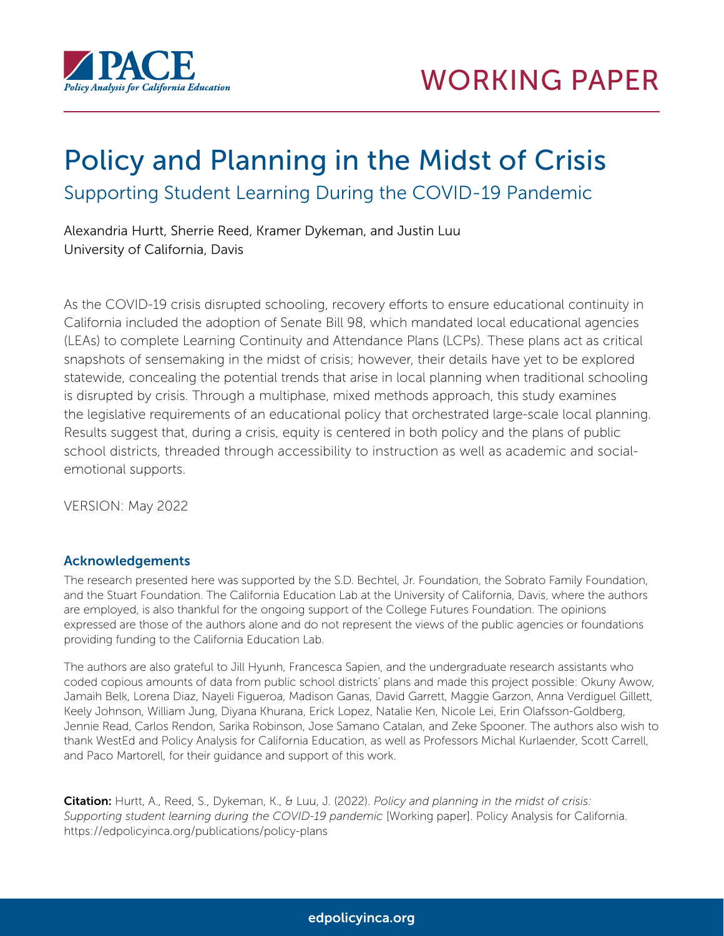

# Policy and Planning in the Midst of Crisis Supporting Student Learning During the COVID-19 Pandemic

Alexandria Hurtt, Sherrie Reed, Kramer Dykeman, and Justin Luu University of California, Davis

As the COVID-19 crisis disrupted schooling, recovery efforts to ensure educational continuity in California included the adoption of Senate Bill 98, which mandated local educational agencies (LEAs) to complete Learning Continuity and Attendance Plans (LCPs). These plans act as critical snapshots of sensemaking in the midst of crisis; however, their details have yet to be explored statewide, concealing the potential trends that arise in local planning when traditional schooling is disrupted by crisis. Through a multiphase, mixed methods approach, this study examines the legislative requirements of an educational policy that orchestrated large-scale local planning. Results suggest that, during a crisis, equity is centered in both policy and the plans of public school districts, threaded through accessibility to instruction as well as academic and socialemotional supports.

VERSION: May 2022

#### Acknowledgements

The research presented here was supported by the S.D. Bechtel, Jr. Foundation, the Sobrato Family Foundation, and the Stuart Foundation. The California Education Lab at the University of California, Davis, where the authors are employed, is also thankful for the ongoing support of the College Futures Foundation. The opinions expressed are those of the authors alone and do not represent the views of the public agencies or foundations providing funding to the California Education Lab.

The authors are also grateful to Jill Hyunh, Francesca Sapien, and the undergraduate research assistants who coded copious amounts of data from public school districts' plans and made this project possible: Okuny Awow, Jamaih Belk, Lorena Diaz, Nayeli Figueroa, Madison Ganas, David Garrett, Maggie Garzon, Anna Verdiguel Gillett, Keely Johnson, William Jung, Diyana Khurana, Erick Lopez, Natalie Ken, Nicole Lei, Erin Olafsson-Goldberg, Jennie Read, Carlos Rendon, Sarika Robinson, Jose Samano Catalan, and Zeke Spooner. The authors also wish to thank WestEd and Policy Analysis for California Education, as well as Professors Michal Kurlaender, Scott Carrell, and Paco Martorell, for their guidance and support of this work.

Citation: Hurtt, A., Reed, S., Dykeman, K., & Luu, J. (2022). *Policy and planning in the midst of crisis: Supporting student learning during the COVID-19 pandemic* [Working paper]. Policy Analysis for California. https://edpolicyinca.org/publications/policy-plans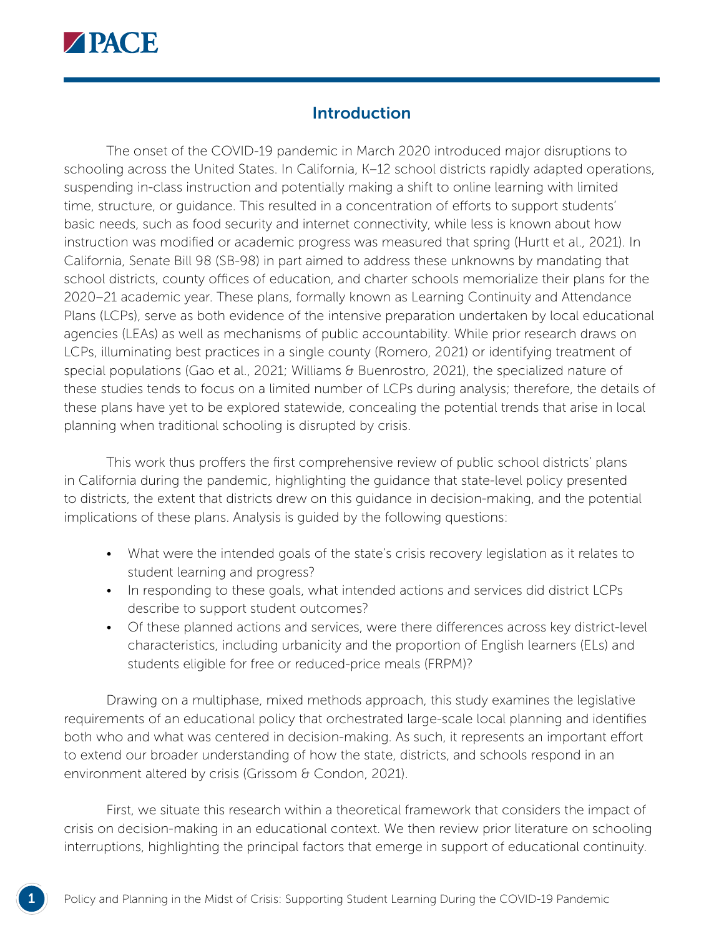

## **Introduction**

The onset of the COVID-19 pandemic in March 2020 introduced major disruptions to schooling across the United States. In California, K-12 school districts rapidly adapted operations, suspending in-class instruction and potentially making a shift to online learning with limited time, structure, or guidance. This resulted in a concentration of efforts to support students' basic needs, such as food security and internet connectivity, while less is known about how instruction was modified or academic progress was measured that spring (Hurtt et al., 2021). In California, Senate Bill 98 (SB-98) in part aimed to address these unknowns by mandating that school districts, county offices of education, and charter schools memorialize their plans for the 2020–21 academic year. These plans, formally known as Learning Continuity and Attendance Plans (LCPs), serve as both evidence of the intensive preparation undertaken by local educational agencies (LEAs) as well as mechanisms of public accountability. While prior research draws on LCPs, illuminating best practices in a single county (Romero, 2021) or identifying treatment of special populations (Gao et al., 2021; Williams & Buenrostro, 2021), the specialized nature of these studies tends to focus on a limited number of LCPs during analysis; therefore, the details of these plans have yet to be explored statewide, concealing the potential trends that arise in local planning when traditional schooling is disrupted by crisis.

This work thus proffers the first comprehensive review of public school districts' plans in California during the pandemic, highlighting the guidance that state-level policy presented to districts, the extent that districts drew on this guidance in decision-making, and the potential implications of these plans. Analysis is guided by the following questions:

- What were the intended goals of the state's crisis recovery legislation as it relates to student learning and progress?
- In responding to these goals, what intended actions and services did district LCPs describe to support student outcomes?
- Of these planned actions and services, were there differences across key district-level characteristics, including urbanicity and the proportion of English learners (ELs) and students eligible for free or reduced-price meals (FRPM)?

Drawing on a multiphase, mixed methods approach, this study examines the legislative requirements of an educational policy that orchestrated large-scale local planning and identifies both who and what was centered in decision-making. As such, it represents an important effort to extend our broader understanding of how the state, districts, and schools respond in an environment altered by crisis (Grissom & Condon, 2021).

First, we situate this research within a theoretical framework that considers the impact of crisis on decision-making in an educational context. We then review prior literature on schooling interruptions, highlighting the principal factors that emerge in support of educational continuity.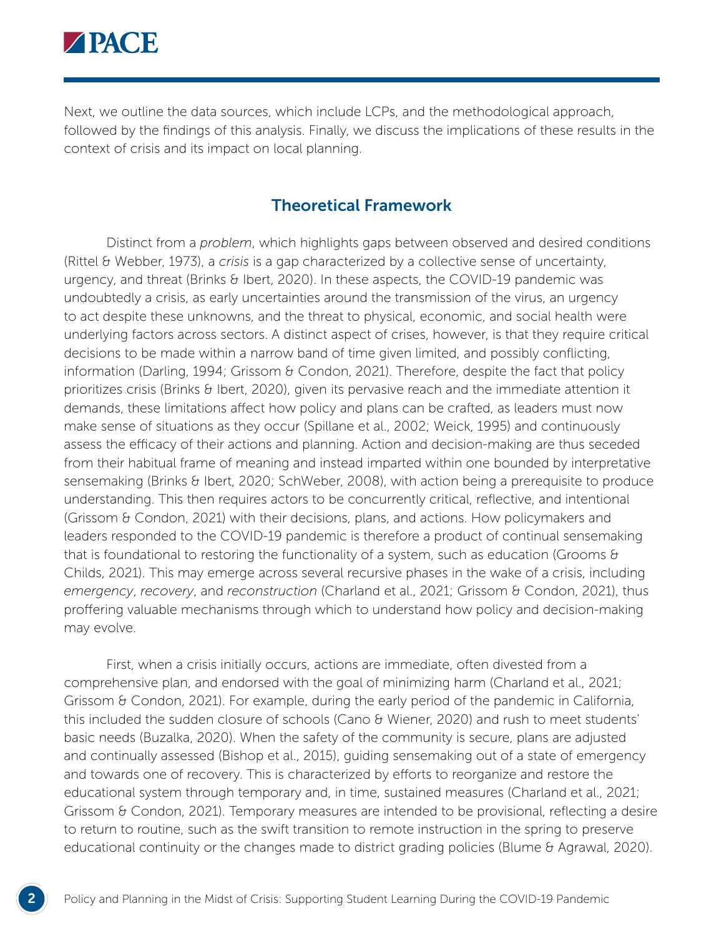

Next, we outline the data sources, which include LCPs, and the methodological approach, followed by the findings of this analysis. Finally, we discuss the implications of these results in the context of crisis and its impact on local planning.

#### Theoretical Framework

Distinct from a *problem*, which highlights gaps between observed and desired conditions (Rittel & Webber, 1973), a *crisis* is a gap characterized by a collective sense of uncertainty, urgency, and threat (Brinks & Ibert, 2020). In these aspects, the COVID-19 pandemic was undoubtedly a crisis, as early uncertainties around the transmission of the virus, an urgency to act despite these unknowns, and the threat to physical, economic, and social health were underlying factors across sectors. A distinct aspect of crises, however, is that they require critical decisions to be made within a narrow band of time given limited, and possibly conflicting, information (Darling, 1994; Grissom & Condon, 2021). Therefore, despite the fact that policy prioritizes crisis (Brinks & Ibert, 2020), given its pervasive reach and the immediate attention it demands, these limitations affect how policy and plans can be crafted, as leaders must now make sense of situations as they occur (Spillane et al., 2002; Weick, 1995) and continuously assess the efficacy of their actions and planning. Action and decision-making are thus seceded from their habitual frame of meaning and instead imparted within one bounded by interpretative sensemaking (Brinks & Ibert, 2020; SchWeber, 2008), with action being a prerequisite to produce understanding. This then requires actors to be concurrently critical, reflective, and intentional (Grissom & Condon, 2021) with their decisions, plans, and actions. How policymakers and leaders responded to the COVID-19 pandemic is therefore a product of continual sensemaking that is foundational to restoring the functionality of a system, such as education (Grooms  $\theta$ Childs, 2021). This may emerge across several recursive phases in the wake of a crisis, including *emergency*, *recovery*, and *reconstruction* (Charland et al., 2021; Grissom & Condon, 2021), thus proffering valuable mechanisms through which to understand how policy and decision-making may evolve.

First, when a crisis initially occurs, actions are immediate, often divested from a comprehensive plan, and endorsed with the goal of minimizing harm (Charland et al., 2021; Grissom & Condon, 2021). For example, during the early period of the pandemic in California, this included the sudden closure of schools (Cano & Wiener, 2020) and rush to meet students' basic needs (Buzalka, 2020). When the safety of the community is secure, plans are adjusted and continually assessed (Bishop et al., 2015), guiding sensemaking out of a state of emergency and towards one of recovery. This is characterized by efforts to reorganize and restore the educational system through temporary and, in time, sustained measures (Charland et al., 2021; Grissom & Condon, 2021). Temporary measures are intended to be provisional, reflecting a desire to return to routine, such as the swift transition to remote instruction in the spring to preserve educational continuity or the changes made to district grading policies (Blume & Agrawal, 2020).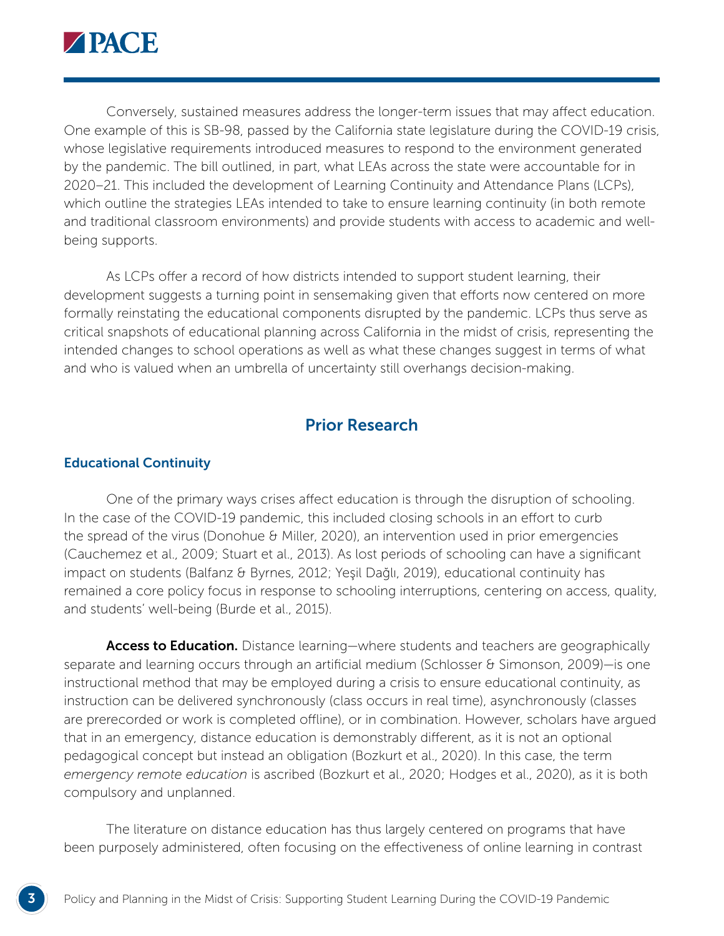

Conversely, sustained measures address the longer-term issues that may affect education. One example of this is SB-98, passed by the California state legislature during the COVID-19 crisis, whose legislative requirements introduced measures to respond to the environment generated by the pandemic. The bill outlined, in part, what LEAs across the state were accountable for in 2020–21. This included the development of Learning Continuity and Attendance Plans (LCPs), which outline the strategies LEAs intended to take to ensure learning continuity (in both remote and traditional classroom environments) and provide students with access to academic and wellbeing supports.

As LCPs offer a record of how districts intended to support student learning, their development suggests a turning point in sensemaking given that efforts now centered on more formally reinstating the educational components disrupted by the pandemic. LCPs thus serve as critical snapshots of educational planning across California in the midst of crisis, representing the intended changes to school operations as well as what these changes suggest in terms of what and who is valued when an umbrella of uncertainty still overhangs decision-making.

### Prior Research

#### Educational Continuity

One of the primary ways crises affect education is through the disruption of schooling. In the case of the COVID-19 pandemic, this included closing schools in an effort to curb the spread of the virus (Donohue & Miller, 2020), an intervention used in prior emergencies (Cauchemez et al., 2009; Stuart et al., 2013). As lost periods of schooling can have a significant impact on students (Balfanz & Byrnes, 2012; Yeşil Dağlı, 2019), educational continuity has remained a core policy focus in response to schooling interruptions, centering on access, quality, and students' well-being (Burde et al., 2015).

Access to Education. Distance learning—where students and teachers are geographically separate and learning occurs through an artificial medium (Schlosser & Simonson, 2009)—is one instructional method that may be employed during a crisis to ensure educational continuity, as instruction can be delivered synchronously (class occurs in real time), asynchronously (classes are prerecorded or work is completed offline), or in combination. However, scholars have argued that in an emergency, distance education is demonstrably different, as it is not an optional pedagogical concept but instead an obligation (Bozkurt et al., 2020). In this case, the term *emergency remote education* is ascribed (Bozkurt et al., 2020; Hodges et al., 2020), as it is both compulsory and unplanned.

The literature on distance education has thus largely centered on programs that have been purposely administered, often focusing on the effectiveness of online learning in contrast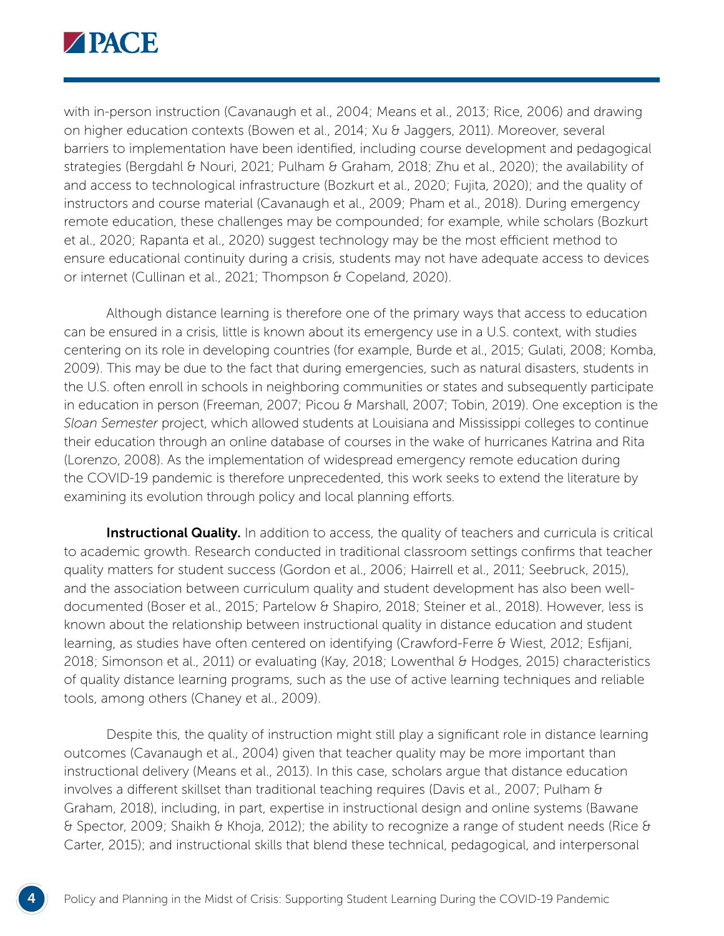

with in-person instruction (Cavanaugh et al., 2004; Means et al., 2013; Rice, 2006) and drawing on higher education contexts (Bowen et al., 2014; Xu & Jaggers, 2011). Moreover, several barriers to implementation have been identified, including course development and pedagogical strategies (Bergdahl & Nouri, 2021; Pulham & Graham, 2018; Zhu et al., 2020); the availability of and access to technological infrastructure (Bozkurt et al., 2020; Fujita, 2020); and the quality of instructors and course material (Cavanaugh et al., 2009; Pham et al., 2018). During emergency remote education, these challenges may be compounded; for example, while scholars (Bozkurt et al., 2020; Rapanta et al., 2020) suggest technology may be the most efficient method to ensure educational continuity during a crisis, students may not have adequate access to devices or internet (Cullinan et al., 2021; Thompson & Copeland, 2020).

Although distance learning is therefore one of the primary ways that access to education can be ensured in a crisis, little is known about its emergency use in a U.S. context, with studies centering on its role in developing countries (for example, Burde et al., 2015; Gulati, 2008; Komba, 2009). This may be due to the fact that during emergencies, such as natural disasters, students in the U.S. often enroll in schools in neighboring communities or states and subsequently participate in education in person (Freeman, 2007; Picou & Marshall, 2007; Tobin, 2019). One exception is the *Sloan Semester* project, which allowed students at Louisiana and Mississippi colleges to continue their education through an online database of courses in the wake of hurricanes Katrina and Rita (Lorenzo, 2008). As the implementation of widespread emergency remote education during the COVID-19 pandemic is therefore unprecedented, this work seeks to extend the literature by examining its evolution through policy and local planning efforts.

**Instructional Quality.** In addition to access, the quality of teachers and curricula is critical to academic growth. Research conducted in traditional classroom settings confirms that teacher quality matters for student success (Gordon et al., 2006; Hairrell et al., 2011; Seebruck, 2015), and the association between curriculum quality and student development has also been welldocumented (Boser et al., 2015; Partelow & Shapiro, 2018; Steiner et al., 2018). However, less is known about the relationship between instructional quality in distance education and student learning, as studies have often centered on identifying (Crawford-Ferre & Wiest, 2012; Esfijani, 2018; Simonson et al., 2011) or evaluating (Kay, 2018; Lowenthal & Hodges, 2015) characteristics of quality distance learning programs, such as the use of active learning techniques and reliable tools, among others (Chaney et al., 2009).

Despite this, the quality of instruction might still play a significant role in distance learning outcomes (Cavanaugh et al., 2004) given that teacher quality may be more important than instructional delivery (Means et al., 2013). In this case, scholars argue that distance education involves a different skillset than traditional teaching requires (Davis et al., 2007; Pulham & Graham, 2018), including, in part, expertise in instructional design and online systems (Bawane  $\theta$  Spector, 2009; Shaikh & Khoja, 2012); the ability to recognize a range of student needs (Rice  $\theta$ Carter, 2015); and instructional skills that blend these technical, pedagogical, and interpersonal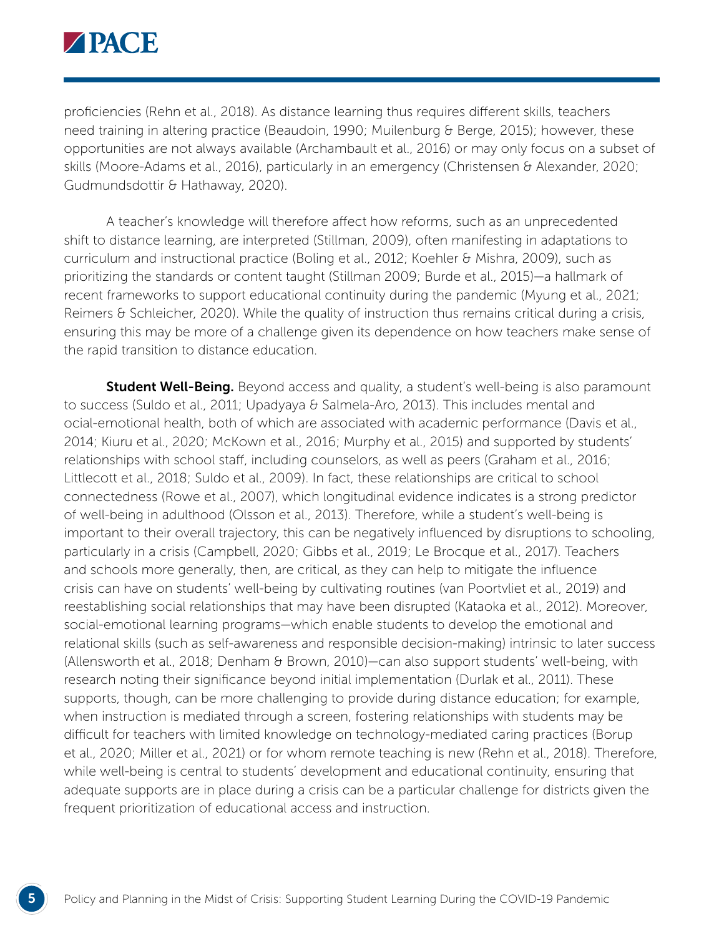

proficiencies (Rehn et al., 2018). As distance learning thus requires different skills, teachers need training in altering practice (Beaudoin, 1990; Muilenburg & Berge, 2015); however, these opportunities are not always available (Archambault et al., 2016) or may only focus on a subset of skills (Moore-Adams et al., 2016), particularly in an emergency (Christensen & Alexander, 2020; Gudmundsdottir & Hathaway, 2020).

A teacher's knowledge will therefore affect how reforms, such as an unprecedented shift to distance learning, are interpreted (Stillman, 2009), often manifesting in adaptations to curriculum and instructional practice (Boling et al., 2012; Koehler & Mishra, 2009), such as prioritizing the standards or content taught (Stillman 2009; Burde et al., 2015)—a hallmark of recent frameworks to support educational continuity during the pandemic (Myung et al., 2021; Reimers & Schleicher, 2020). While the quality of instruction thus remains critical during a crisis, ensuring this may be more of a challenge given its dependence on how teachers make sense of the rapid transition to distance education.

**Student Well-Being.** Beyond access and quality, a student's well-being is also paramount to success (Suldo et al., 2011; Upadyaya & Salmela-Aro, 2013). This includes mental and ocial-emotional health, both of which are associated with academic performance (Davis et al., 2014; Kiuru et al., 2020; McKown et al., 2016; Murphy et al., 2015) and supported by students' relationships with school staff, including counselors, as well as peers (Graham et al., 2016; Littlecott et al., 2018; Suldo et al., 2009). In fact, these relationships are critical to school connectedness (Rowe et al., 2007), which longitudinal evidence indicates is a strong predictor of well-being in adulthood (Olsson et al., 2013). Therefore, while a student's well-being is important to their overall trajectory, this can be negatively influenced by disruptions to schooling, particularly in a crisis (Campbell, 2020; Gibbs et al., 2019; Le Brocque et al., 2017). Teachers and schools more generally, then, are critical, as they can help to mitigate the influence crisis can have on students' well-being by cultivating routines (van Poortvliet et al., 2019) and reestablishing social relationships that may have been disrupted (Kataoka et al., 2012). Moreover, social-emotional learning programs—which enable students to develop the emotional and relational skills (such as self-awareness and responsible decision-making) intrinsic to later success (Allensworth et al., 2018; Denham & Brown, 2010)—can also support students' well-being, with research noting their significance beyond initial implementation (Durlak et al., 2011). These supports, though, can be more challenging to provide during distance education; for example, when instruction is mediated through a screen, fostering relationships with students may be difficult for teachers with limited knowledge on technology-mediated caring practices (Borup et al., 2020; Miller et al., 2021) or for whom remote teaching is new (Rehn et al., 2018). Therefore, while well-being is central to students' development and educational continuity, ensuring that adequate supports are in place during a crisis can be a particular challenge for districts given the frequent prioritization of educational access and instruction.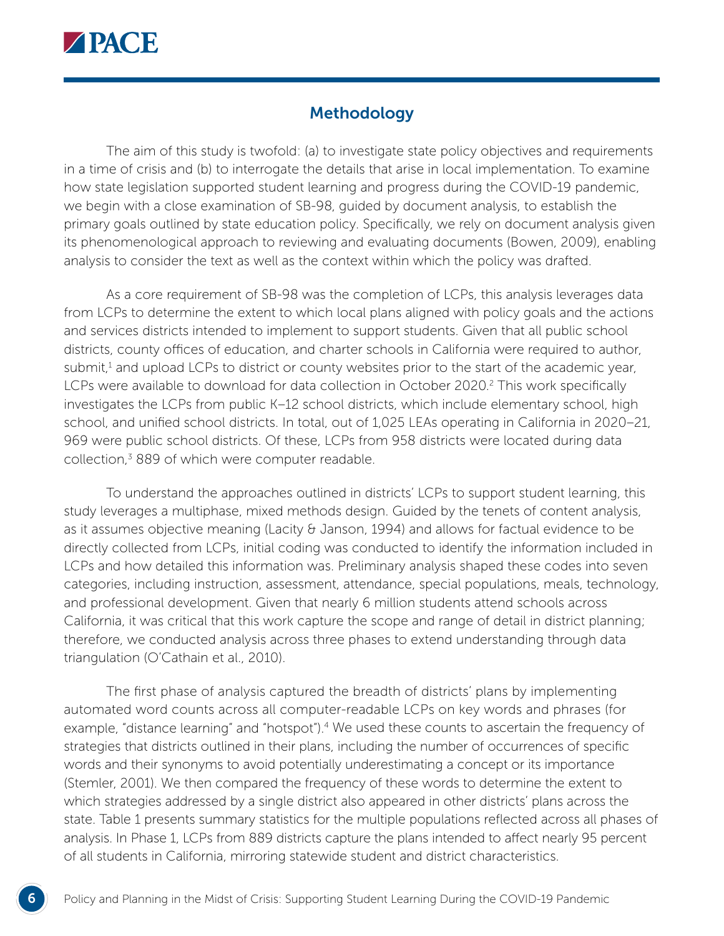

## Methodology

The aim of this study is twofold: (a) to investigate state policy objectives and requirements in a time of crisis and (b) to interrogate the details that arise in local implementation. To examine how state legislation supported student learning and progress during the COVID-19 pandemic, we begin with a close examination of SB-98, guided by document analysis, to establish the primary goals outlined by state education policy. Specifically, we rely on document analysis given its phenomenological approach to reviewing and evaluating documents (Bowen, 2009), enabling analysis to consider the text as well as the context within which the policy was drafted.

As a core requirement of SB-98 was the completion of LCPs, this analysis leverages data from LCPs to determine the extent to which local plans aligned with policy goals and the actions and services districts intended to implement to support students. Given that all public school districts, county offices of education, and charter schools in California were required to author, submit,<sup>1</sup> and upload LCPs to district or county websites prior to the start of the academic year, LCPs were available to download for data collection in October 2020.<sup>2</sup> This work specifically investigates the LCPs from public K–12 school districts, which include elementary school, high school, and unified school districts. In total, out of 1,025 LEAs operating in California in 2020–21, 969 were public school districts. Of these, LCPs from 958 districts were located during data collection,<sup>3</sup> 889 of which were computer readable.

To understand the approaches outlined in districts' LCPs to support student learning, this study leverages a multiphase, mixed methods design. Guided by the tenets of content analysis, as it assumes objective meaning (Lacity  $\theta$  Janson, 1994) and allows for factual evidence to be directly collected from LCPs, initial coding was conducted to identify the information included in LCPs and how detailed this information was. Preliminary analysis shaped these codes into seven categories, including instruction, assessment, attendance, special populations, meals, technology, and professional development. Given that nearly 6 million students attend schools across California, it was critical that this work capture the scope and range of detail in district planning; therefore, we conducted analysis across three phases to extend understanding through data triangulation (O'Cathain et al., 2010).

The first phase of analysis captured the breadth of districts' plans by implementing automated word counts across all computer-readable LCPs on key words and phrases (for example, "distance learning" and "hotspot").<sup>4</sup> We used these counts to ascertain the frequency of strategies that districts outlined in their plans, including the number of occurrences of specific words and their synonyms to avoid potentially underestimating a concept or its importance (Stemler, 2001). We then compared the frequency of these words to determine the extent to which strategies addressed by a single district also appeared in other districts' plans across the state. Table 1 presents summary statistics for the multiple populations reflected across all phases of analysis. In Phase 1, LCPs from 889 districts capture the plans intended to affect nearly 95 percent of all students in California, mirroring statewide student and district characteristics.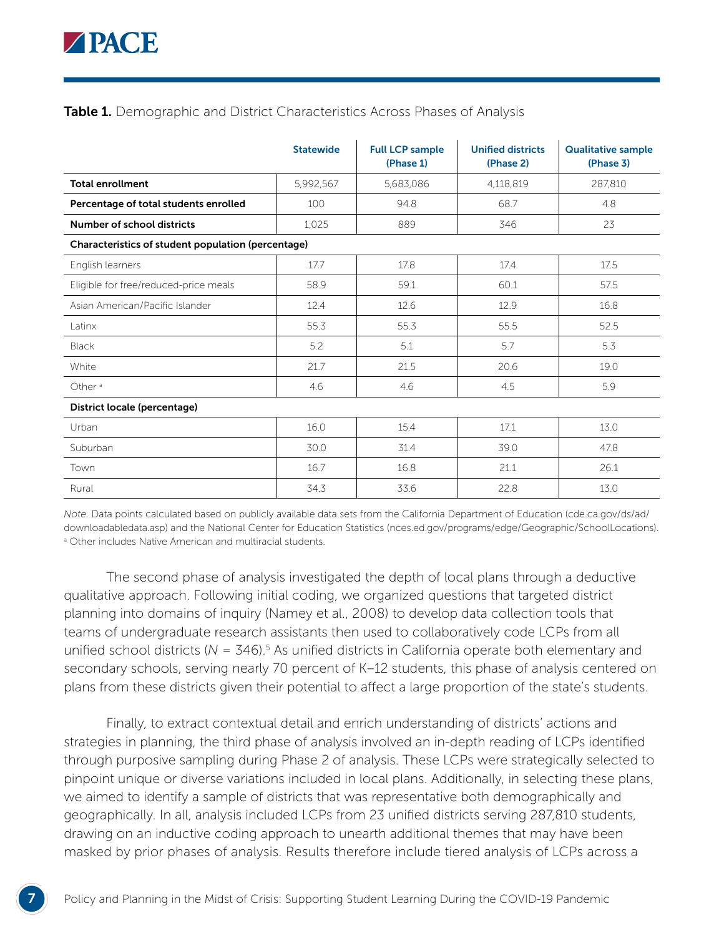#### **Table 1.** Demographic and District Characteristics Across Phases of Analysis

|                                                    | <b>Statewide</b> | <b>Full LCP sample</b><br>(Phase 1) | <b>Unified districts</b><br>(Phase 2) | <b>Qualitative sample</b><br>(Phase 3) |
|----------------------------------------------------|------------------|-------------------------------------|---------------------------------------|----------------------------------------|
| <b>Total enrollment</b>                            | 5,992,567        | 5,683,086                           | 4,118,819                             | 287,810                                |
| Percentage of total students enrolled              | 100              | 94.8                                | 68.7                                  | 4.8                                    |
| Number of school districts                         | 1,025            | 889                                 | 346                                   | 23                                     |
| Characteristics of student population (percentage) |                  |                                     |                                       |                                        |
| English learners                                   | 17.7             | 17.8                                | 17.4                                  | 17.5                                   |
| Eligible for free/reduced-price meals              | 58.9             | 59.1                                | 60.1                                  | 57.5                                   |
| Asian American/Pacific Islander                    | 12.4             | 12.6                                | 12.9                                  | 16.8                                   |
| Latinx                                             | 55.3             | 55.3                                | 55.5                                  | 52.5                                   |
| <b>Black</b>                                       | 5.2              | 5.1                                 | 5.7                                   | 5.3                                    |
| White                                              | 21.7             | 21.5                                | 20.6                                  | 19.0                                   |
| Other $a$                                          | 4.6              | 4.6                                 | 4.5                                   | 5.9                                    |
| District locale (percentage)                       |                  |                                     |                                       |                                        |
| Urban                                              | 16.0             | 15.4                                | 17.1                                  | 13.0                                   |
| Suburban                                           | 30.0             | 31.4                                | 39.0                                  | 47.8                                   |
| Town                                               | 16.7             | 16.8                                | 21.1                                  | 26.1                                   |
| Rural                                              | 34.3             | 33.6                                | 22.8                                  | 13.0                                   |

*Note.* Data points calculated based on publicly available data sets from the California Department of Education ([cde.ca.gov/ds/ad/](http://cde.ca.gov/ds/ad/downloadabledata.asp) [downloadabledata.asp\)](http://cde.ca.gov/ds/ad/downloadabledata.asp) and the National Center for Education Statistics ([nces.ed.gov/programs/edge/Geographic/SchoolLocations](http://nces.ed.gov/programs/edge/Geographic/SchoolLocations)). <sup>a</sup> Other includes Native American and multiracial students.

The second phase of analysis investigated the depth of local plans through a deductive qualitative approach. Following initial coding, we organized questions that targeted district planning into domains of inquiry (Namey et al., 2008) to develop data collection tools that teams of undergraduate research assistants then used to collaboratively code LCPs from all unified school districts ( $N = 346$ ).<sup>5</sup> As unified districts in California operate both elementary and secondary schools, serving nearly 70 percent of K–12 students, this phase of analysis centered on plans from these districts given their potential to affect a large proportion of the state's students.

Finally, to extract contextual detail and enrich understanding of districts' actions and strategies in planning, the third phase of analysis involved an in-depth reading of LCPs identified through purposive sampling during Phase 2 of analysis. These LCPs were strategically selected to pinpoint unique or diverse variations included in local plans. Additionally, in selecting these plans, we aimed to identify a sample of districts that was representative both demographically and geographically. In all, analysis included LCPs from 23 unified districts serving 287,810 students, drawing on an inductive coding approach to unearth additional themes that may have been masked by prior phases of analysis. Results therefore include tiered analysis of LCPs across a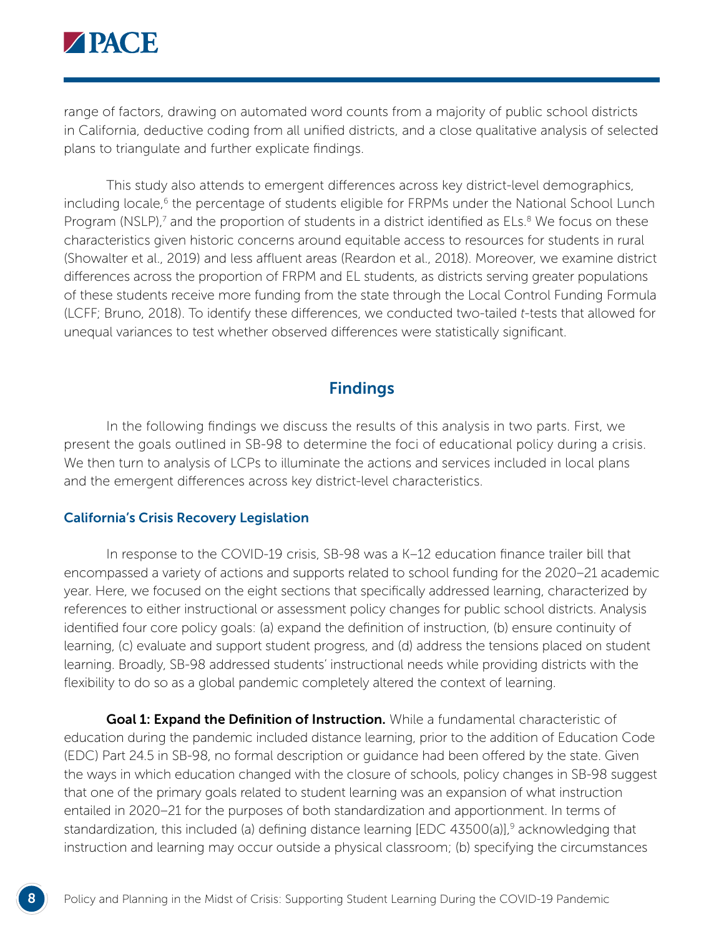

range of factors, drawing on automated word counts from a majority of public school districts in California, deductive coding from all unified districts, and a close qualitative analysis of selected plans to triangulate and further explicate findings.

This study also attends to emergent differences across key district-level demographics, including locale,<sup>6</sup> the percentage of students eligible for FRPMs under the National School Lunch Program (NSLP),<sup>7</sup> and the proportion of students in a district identified as ELs.<sup>8</sup> We focus on these characteristics given historic concerns around equitable access to resources for students in rural (Showalter et al., 2019) and less affluent areas (Reardon et al., 2018). Moreover, we examine district differences across the proportion of FRPM and EL students, as districts serving greater populations of these students receive more funding from the state through the Local Control Funding Formula (LCFF; Bruno, 2018). To identify these differences, we conducted two-tailed *t*-tests that allowed for unequal variances to test whether observed differences were statistically significant.

## Findings

In the following findings we discuss the results of this analysis in two parts. First, we present the goals outlined in SB-98 to determine the foci of educational policy during a crisis. We then turn to analysis of LCPs to illuminate the actions and services included in local plans and the emergent differences across key district-level characteristics.

#### California's Crisis Recovery Legislation

In response to the COVID-19 crisis, SB-98 was a K–12 education finance trailer bill that encompassed a variety of actions and supports related to school funding for the 2020–21 academic year. Here, we focused on the eight sections that specifically addressed learning, characterized by references to either instructional or assessment policy changes for public school districts. Analysis identified four core policy goals: (a) expand the definition of instruction, (b) ensure continuity of learning, (c) evaluate and support student progress, and (d) address the tensions placed on student learning. Broadly, SB-98 addressed students' instructional needs while providing districts with the flexibility to do so as a global pandemic completely altered the context of learning.

Goal 1: Expand the Definition of Instruction. While a fundamental characteristic of education during the pandemic included distance learning, prior to the addition of Education Code (EDC) Part 24.5 in SB-98, no formal description or guidance had been offered by the state. Given the ways in which education changed with the closure of schools, policy changes in SB-98 suggest that one of the primary goals related to student learning was an expansion of what instruction entailed in 2020–21 for the purposes of both standardization and apportionment. In terms of standardization, this included (a) defining distance learning  $[EDC 43500(a)]$ ,<sup>9</sup> acknowledging that instruction and learning may occur outside a physical classroom; (b) specifying the circumstances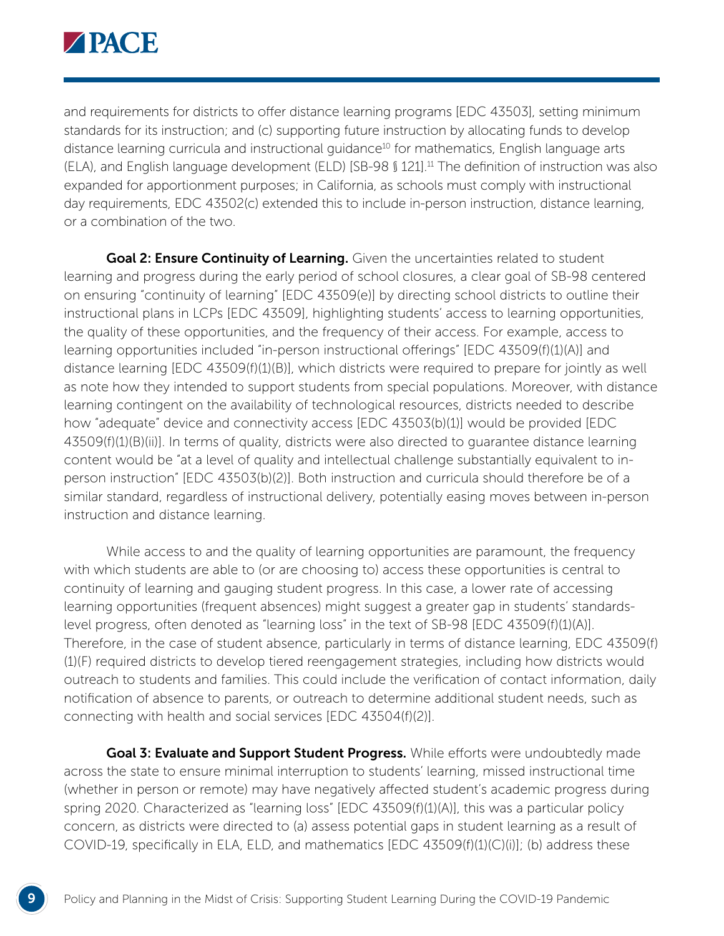

and requirements for districts to offer distance learning programs [EDC 43503], setting minimum standards for its instruction; and (c) supporting future instruction by allocating funds to develop distance learning curricula and instructional quidance<sup>10</sup> for mathematics, English language arts (ELA), and English language development (ELD) [SB-98 § 121].11 The definition of instruction was also expanded for apportionment purposes; in California, as schools must comply with instructional day requirements, EDC 43502(c) extended this to include in-person instruction, distance learning, or a combination of the two.

**Goal 2: Ensure Continuity of Learning.** Given the uncertainties related to student learning and progress during the early period of school closures, a clear goal of SB-98 centered on ensuring "continuity of learning" [EDC 43509(e)] by directing school districts to outline their instructional plans in LCPs [EDC 43509], highlighting students' access to learning opportunities, the quality of these opportunities, and the frequency of their access. For example, access to learning opportunities included "in-person instructional offerings" [EDC 43509(f)(1)(A)] and distance learning [EDC 43509(f)(1)(B)], which districts were required to prepare for jointly as well as note how they intended to support students from special populations. Moreover, with distance learning contingent on the availability of technological resources, districts needed to describe how "adequate" device and connectivity access [EDC 43503(b)(1)] would be provided [EDC 43509(f)(1)(B)(ii)]. In terms of quality, districts were also directed to guarantee distance learning content would be "at a level of quality and intellectual challenge substantially equivalent to inperson instruction" [EDC 43503(b)(2)]. Both instruction and curricula should therefore be of a similar standard, regardless of instructional delivery, potentially easing moves between in-person instruction and distance learning.

While access to and the quality of learning opportunities are paramount, the frequency with which students are able to (or are choosing to) access these opportunities is central to continuity of learning and gauging student progress. In this case, a lower rate of accessing learning opportunities (frequent absences) might suggest a greater gap in students' standardslevel progress, often denoted as "learning loss" in the text of SB-98 [EDC 43509(f)(1)(A)]. Therefore, in the case of student absence, particularly in terms of distance learning, EDC 43509(f) (1)(F) required districts to develop tiered reengagement strategies, including how districts would outreach to students and families. This could include the verification of contact information, daily notification of absence to parents, or outreach to determine additional student needs, such as connecting with health and social services [EDC 43504(f)(2)].

Goal 3: Evaluate and Support Student Progress. While efforts were undoubtedly made across the state to ensure minimal interruption to students' learning, missed instructional time (whether in person or remote) may have negatively affected student's academic progress during spring 2020. Characterized as "learning loss" [EDC 43509(f)(1)(A)], this was a particular policy concern, as districts were directed to (a) assess potential gaps in student learning as a result of COVID-19, specifically in ELA, ELD, and mathematics [EDC 43509(f)(1)(C)(i)]; (b) address these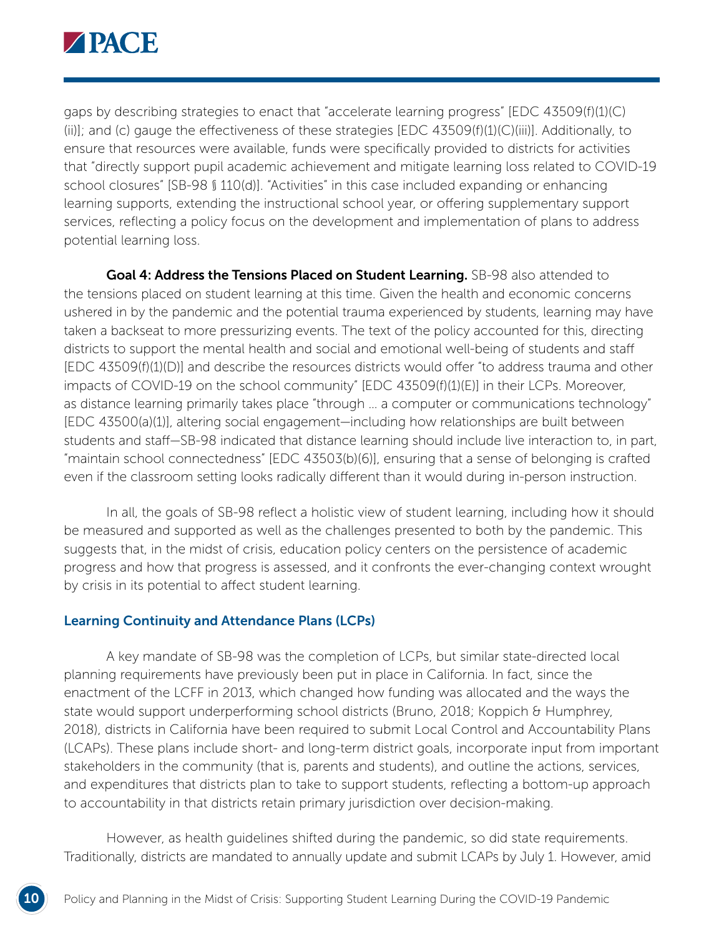

gaps by describing strategies to enact that "accelerate learning progress" [EDC 43509(f)(1)(C) (ii)]; and (c) gauge the effectiveness of these strategies [EDC 43509(f)(1)(C)(iii)]. Additionally, to ensure that resources were available, funds were specifically provided to districts for activities that "directly support pupil academic achievement and mitigate learning loss related to COVID-19 school closures" [SB-98 § 110(d)]. "Activities" in this case included expanding or enhancing learning supports, extending the instructional school year, or offering supplementary support services, reflecting a policy focus on the development and implementation of plans to address potential learning loss.

Goal 4: Address the Tensions Placed on Student Learning. SB-98 also attended to the tensions placed on student learning at this time. Given the health and economic concerns ushered in by the pandemic and the potential trauma experienced by students, learning may have taken a backseat to more pressurizing events. The text of the policy accounted for this, directing districts to support the mental health and social and emotional well-being of students and staff [EDC 43509(f)(1)(D)] and describe the resources districts would offer "to address trauma and other impacts of COVID-19 on the school community" [EDC 43509(f)(1)(E)] in their LCPs. Moreover, as distance learning primarily takes place "through … a computer or communications technology" [EDC 43500(a)(1)], altering social engagement—including how relationships are built between students and staff—SB-98 indicated that distance learning should include live interaction to, in part, "maintain school connectedness" [EDC 43503(b)(6)], ensuring that a sense of belonging is crafted even if the classroom setting looks radically different than it would during in-person instruction.

In all, the goals of SB-98 reflect a holistic view of student learning, including how it should be measured and supported as well as the challenges presented to both by the pandemic. This suggests that, in the midst of crisis, education policy centers on the persistence of academic progress and how that progress is assessed, and it confronts the ever-changing context wrought by crisis in its potential to affect student learning.

#### Learning Continuity and Attendance Plans (LCPs)

A key mandate of SB-98 was the completion of LCPs, but similar state-directed local planning requirements have previously been put in place in California. In fact, since the enactment of the LCFF in 2013, which changed how funding was allocated and the ways the state would support underperforming school districts (Bruno, 2018; Koppich & Humphrey, 2018), districts in California have been required to submit Local Control and Accountability Plans (LCAPs). These plans include short- and long-term district goals, incorporate input from important stakeholders in the community (that is, parents and students), and outline the actions, services, and expenditures that districts plan to take to support students, reflecting a bottom-up approach to accountability in that districts retain primary jurisdiction over decision-making.

However, as health guidelines shifted during the pandemic, so did state requirements. Traditionally, districts are mandated to annually update and submit LCAPs by July 1. However, amid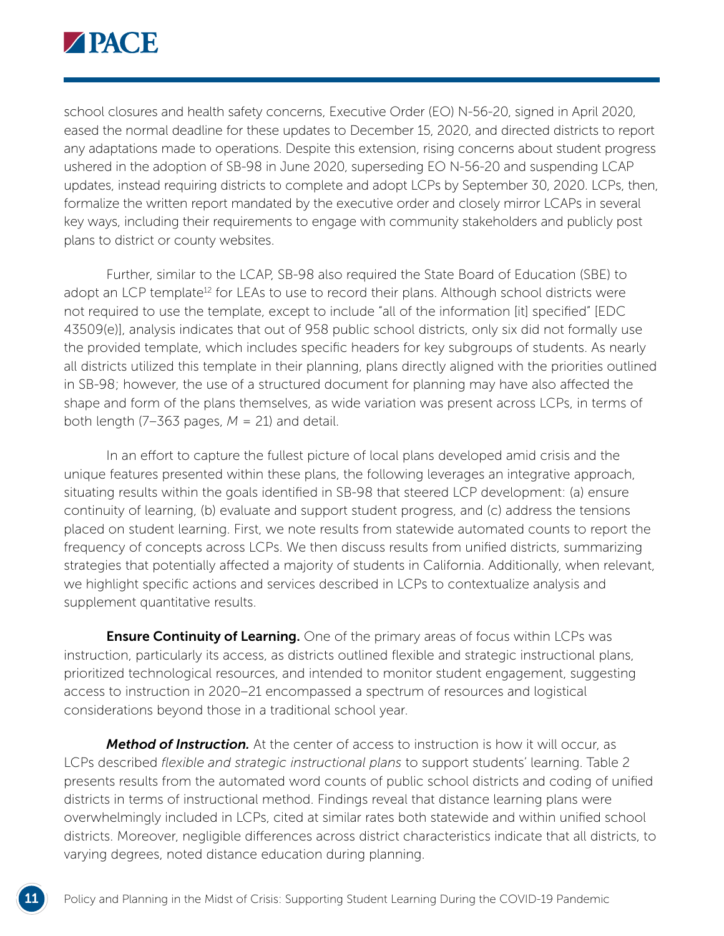

school closures and health safety concerns, Executive Order (EO) N-56-20, signed in April 2020, eased the normal deadline for these updates to December 15, 2020, and directed districts to report any adaptations made to operations. Despite this extension, rising concerns about student progress ushered in the adoption of SB-98 in June 2020, superseding EO N-56-20 and suspending LCAP updates, instead requiring districts to complete and adopt LCPs by September 30, 2020. LCPs, then, formalize the written report mandated by the executive order and closely mirror LCAPs in several key ways, including their requirements to engage with community stakeholders and publicly post plans to district or county websites.

Further, similar to the LCAP, SB-98 also required the State Board of Education (SBE) to adopt an LCP template<sup>12</sup> for LEAs to use to record their plans. Although school districts were not required to use the template, except to include "all of the information [it] specified" [EDC 43509(e)], analysis indicates that out of 958 public school districts, only six did not formally use the provided template, which includes specific headers for key subgroups of students. As nearly all districts utilized this template in their planning, plans directly aligned with the priorities outlined in SB-98; however, the use of a structured document for planning may have also affected the shape and form of the plans themselves, as wide variation was present across LCPs, in terms of both length (7–363 pages,  $M = 21$ ) and detail.

In an effort to capture the fullest picture of local plans developed amid crisis and the unique features presented within these plans, the following leverages an integrative approach, situating results within the goals identified in SB-98 that steered LCP development: (a) ensure continuity of learning, (b) evaluate and support student progress, and (c) address the tensions placed on student learning. First, we note results from statewide automated counts to report the frequency of concepts across LCPs. We then discuss results from unified districts, summarizing strategies that potentially affected a majority of students in California. Additionally, when relevant, we highlight specific actions and services described in LCPs to contextualize analysis and supplement quantitative results.

**Ensure Continuity of Learning.** One of the primary areas of focus within LCPs was instruction, particularly its access, as districts outlined flexible and strategic instructional plans, prioritized technological resources, and intended to monitor student engagement, suggesting access to instruction in 2020–21 encompassed a spectrum of resources and logistical considerations beyond those in a traditional school year.

*Method of Instruction.* At the center of access to instruction is how it will occur, as LCPs described *flexible and strategic instructional plans* to support students' learning. Table 2 presents results from the automated word counts of public school districts and coding of unified districts in terms of instructional method. Findings reveal that distance learning plans were overwhelmingly included in LCPs, cited at similar rates both statewide and within unified school districts. Moreover, negligible differences across district characteristics indicate that all districts, to varying degrees, noted distance education during planning.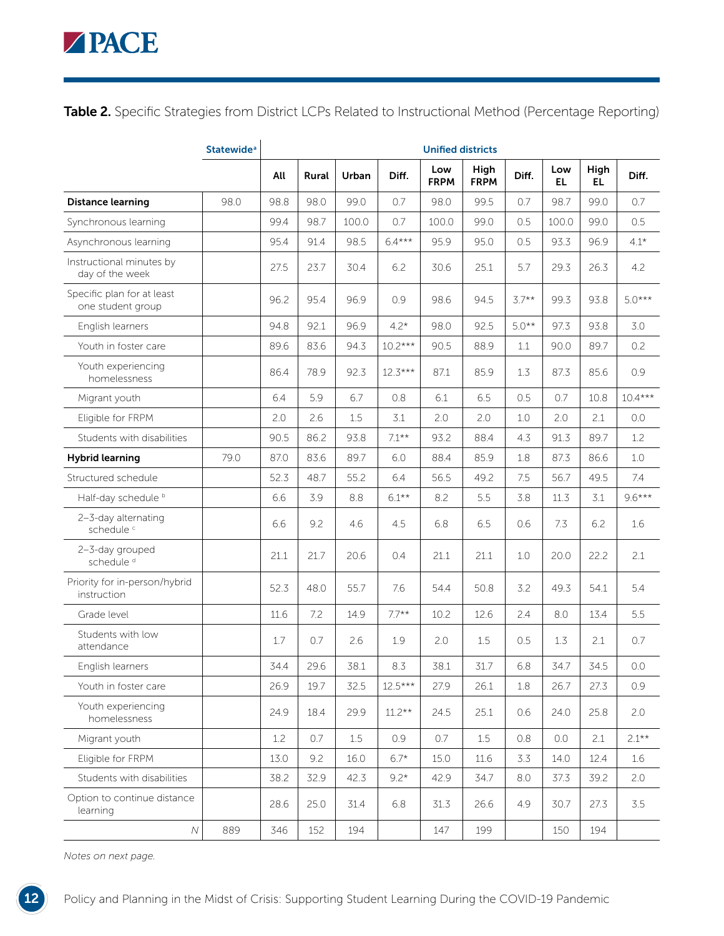Table 2. Specific Strategies from District LCPs Related to Instructional Method (Percentage Reporting)

|                                                 | <b>Statewide</b> <sup>a</sup> |      |       |         |           | <b>Unified districts</b> |                     |         |                  |             |           |
|-------------------------------------------------|-------------------------------|------|-------|---------|-----------|--------------------------|---------------------|---------|------------------|-------------|-----------|
|                                                 |                               | All  | Rural | Urban   | Diff.     | Low<br><b>FRPM</b>       | High<br><b>FRPM</b> | Diff.   | Low<br><b>EL</b> | High<br>EL. | Diff.     |
| <b>Distance learning</b>                        | 98.0                          | 98.8 | 98.0  | 99.0    | 0.7       | 98.0                     | 99.5                | 0.7     | 98.7             | 99.0        | 0.7       |
| Synchronous learning                            |                               | 99.4 | 98.7  | 100.0   | 0.7       | 100.0                    | 99.0                | 0.5     | 100.0            | 99.0        | 0.5       |
| Asynchronous learning                           |                               | 95.4 | 91.4  | 98.5    | $6.4***$  | 95.9                     | 95.0                | 0.5     | 93.3             | 96.9        | $4.1*$    |
| Instructional minutes by<br>day of the week     |                               | 27.5 | 23.7  | 30.4    | 6.2       | 30.6                     | 25.1                | 5.7     | 29.3             | 26.3        | 4.2       |
| Specific plan for at least<br>one student group |                               | 96.2 | 95.4  | 96.9    | 0.9       | 98.6                     | 94.5                | $3.7**$ | 99.3             | 93.8        | $5.0***$  |
| English learners                                |                               | 94.8 | 92.1  | 96.9    | $4.2*$    | 98.0                     | 92.5                | $5.0**$ | 97.3             | 93.8        | 3.0       |
| Youth in foster care                            |                               | 89.6 | 83.6  | 94.3    | $10.2***$ | 90.5                     | 88.9                | $1.1\,$ | 90.0             | 89.7        | 0.2       |
| Youth experiencing<br>homelessness              |                               | 86.4 | 78.9  | 92.3    | $12.3***$ | 87.1                     | 85.9                | 1.3     | 87.3             | 85.6        | 0.9       |
| Migrant youth                                   |                               | 6.4  | 5.9   | 6.7     | 0.8       | 6.1                      | 6.5                 | 0.5     | 0.7              | 10.8        | $10.4***$ |
| Eligible for FRPM                               |                               | 2.0  | 2.6   | 1.5     | 3.1       | 2.0                      | 2.0                 | 1.0     | 2.0              | 2.1         | 0.0       |
| Students with disabilities                      |                               | 90.5 | 86.2  | 93.8    | $7.1***$  | 93.2                     | 88.4                | 4.3     | 91.3             | 89.7        | 1.2       |
| <b>Hybrid learning</b>                          | 79.0                          | 87.0 | 83.6  | 89.7    | 6.0       | 88.4                     | 85.9                | 1.8     | 87.3             | 86.6        | $1.0\,$   |
| Structured schedule                             |                               | 52.3 | 48.7  | 55.2    | 6.4       | 56.5                     | 49.2                | 7.5     | 56.7             | 49.5        | 7.4       |
| Half-day schedule b                             |                               | 6.6  | 3.9   | 8.8     | $6.1***$  | 8.2                      | 5.5                 | 3.8     | 11.3             | 3.1         | $9.6***$  |
| 2-3-day alternating<br>schedule <sup>c</sup>    |                               | 6.6  | 9.2   | 4.6     | 4.5       | 6.8                      | 6.5                 | 0.6     | 7.3              | 6.2         | 1.6       |
| 2-3-day grouped<br>schedule <sup>d</sup>        |                               | 21.1 | 21.7  | 20.6    | 0.4       | 21.1                     | 21.1                | 1.0     | 20.0             | 22.2        | 2.1       |
| Priority for in-person/hybrid<br>instruction    |                               | 52.3 | 48.0  | 55.7    | 7.6       | 54.4                     | 50.8                | 3.2     | 49.3             | 54.1        | 5.4       |
| Grade level                                     |                               | 11.6 | 7.2   | 14.9    | $7.7**$   | 10.2                     | 12.6                | 2.4     | 8.0              | 13.4        | 5.5       |
| Students with low<br>attendance                 |                               | 1.7  | 0.7   | 2.6     | 1.9       | 2.0                      | 1.5                 | 0.5     | 1.3              | 2.1         | 0.7       |
| English learners                                |                               | 34.4 | 29.6  | 38.1    | 8.3       | 38.1                     | 31.7                | 6.8     | 34.7             | 34.5        | 0.0       |
| Youth in foster care                            |                               | 26.9 | 19.7  | 32.5    | $12.5***$ | 27.9                     | 26.1                | 1.8     | 26.7             | 27.3        | 0.9       |
| Youth experiencing<br>homelessness              |                               | 24.9 | 18.4  | 29.9    | $11.2**$  | 24.5                     | 25.1                | 0.6     | 24.0             | 25.8        | 2.0       |
| Migrant youth                                   |                               | 1.2  | 0.7   | $1.5\,$ | 0.9       | 0.7                      | $1.5\,$             | $0.8\,$ | $0.0\,$          | 2.1         | $2.1***$  |
| Eligible for FRPM                               |                               | 13.0 | 9.2   | 16.0    | $6.7*$    | 15.0                     | 11.6                | 3.3     | 14.0             | 12.4        | 1.6       |
| Students with disabilities                      |                               | 38.2 | 32.9  | 42.3    | $9.2*$    | 42.9                     | 34.7                | 8.0     | 37.3             | 39.2        | 2.0       |
| Option to continue distance<br>learning         |                               | 28.6 | 25.0  | 31.4    | 6.8       | 31.3                     | 26.6                | 4.9     | 30.7             | 27.3        | 3.5       |
| ${\cal N}$                                      | 889                           | 346  | 152   | 194     |           | 147                      | 199                 |         | 150              | 194         |           |

*Notes on next page.*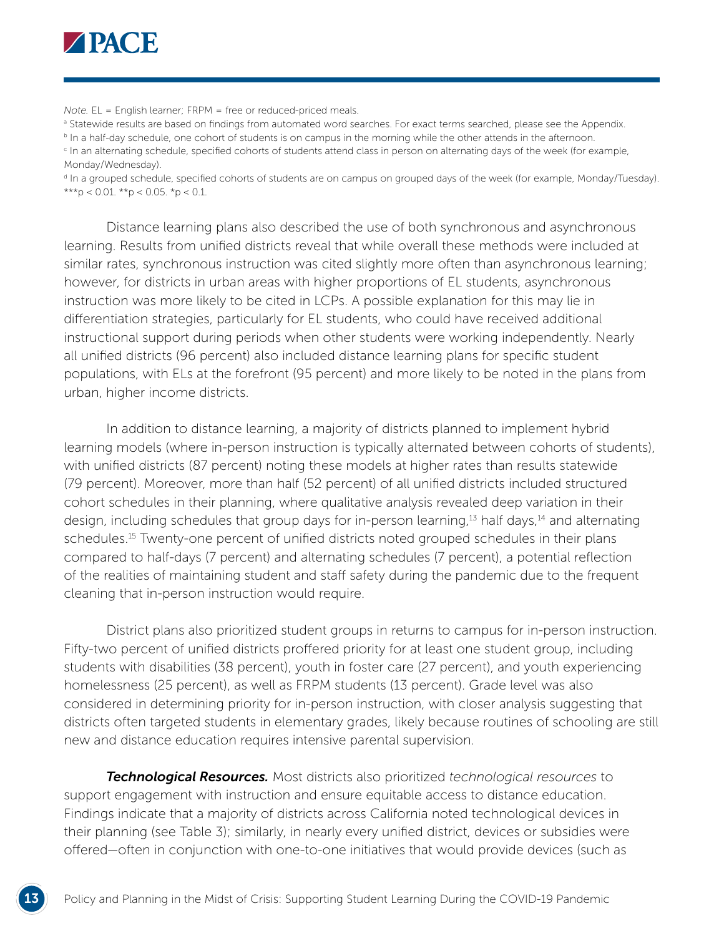

*Note.* EL = English learner; FRPM = free or reduced-priced meals.

**B** Statewide results are based on findings from automated word searches. For exact terms searched, please see the Appendix. **b** In a half-day schedule, one cohort of students is on campus in the morning while the other attends in the afternoon.

<sup>c</sup> In an alternating schedule, specified cohorts of students attend class in person on alternating days of the week (for example, Monday/Wednesday).

d In a grouped schedule, specified cohorts of students are on campus on grouped days of the week (for example, Monday/Tuesday). \*\*\*p < 0.01. \*\*p < 0.05. \*p < 0.1.

Distance learning plans also described the use of both synchronous and asynchronous learning. Results from unified districts reveal that while overall these methods were included at similar rates, synchronous instruction was cited slightly more often than asynchronous learning; however, for districts in urban areas with higher proportions of EL students, asynchronous instruction was more likely to be cited in LCPs. A possible explanation for this may lie in differentiation strategies, particularly for EL students, who could have received additional instructional support during periods when other students were working independently. Nearly all unified districts (96 percent) also included distance learning plans for specific student populations, with ELs at the forefront (95 percent) and more likely to be noted in the plans from urban, higher income districts.

In addition to distance learning, a majority of districts planned to implement hybrid learning models (where in-person instruction is typically alternated between cohorts of students), with unified districts (87 percent) noting these models at higher rates than results statewide (79 percent). Moreover, more than half (52 percent) of all unified districts included structured cohort schedules in their planning, where qualitative analysis revealed deep variation in their design, including schedules that group days for in-person learning,<sup>13</sup> half days,<sup>14</sup> and alternating schedules.15 Twenty-one percent of unified districts noted grouped schedules in their plans compared to half-days (7 percent) and alternating schedules (7 percent), a potential reflection of the realities of maintaining student and staff safety during the pandemic due to the frequent cleaning that in-person instruction would require.

District plans also prioritized student groups in returns to campus for in-person instruction. Fifty-two percent of unified districts proffered priority for at least one student group, including students with disabilities (38 percent), youth in foster care (27 percent), and youth experiencing homelessness (25 percent), as well as FRPM students (13 percent). Grade level was also considered in determining priority for in-person instruction, with closer analysis suggesting that districts often targeted students in elementary grades, likely because routines of schooling are still new and distance education requires intensive parental supervision.

*Technological Resources.* Most districts also prioritized *technological resources* to support engagement with instruction and ensure equitable access to distance education. Findings indicate that a majority of districts across California noted technological devices in their planning (see Table 3); similarly, in nearly every unified district, devices or subsidies were offered—often in conjunction with one-to-one initiatives that would provide devices (such as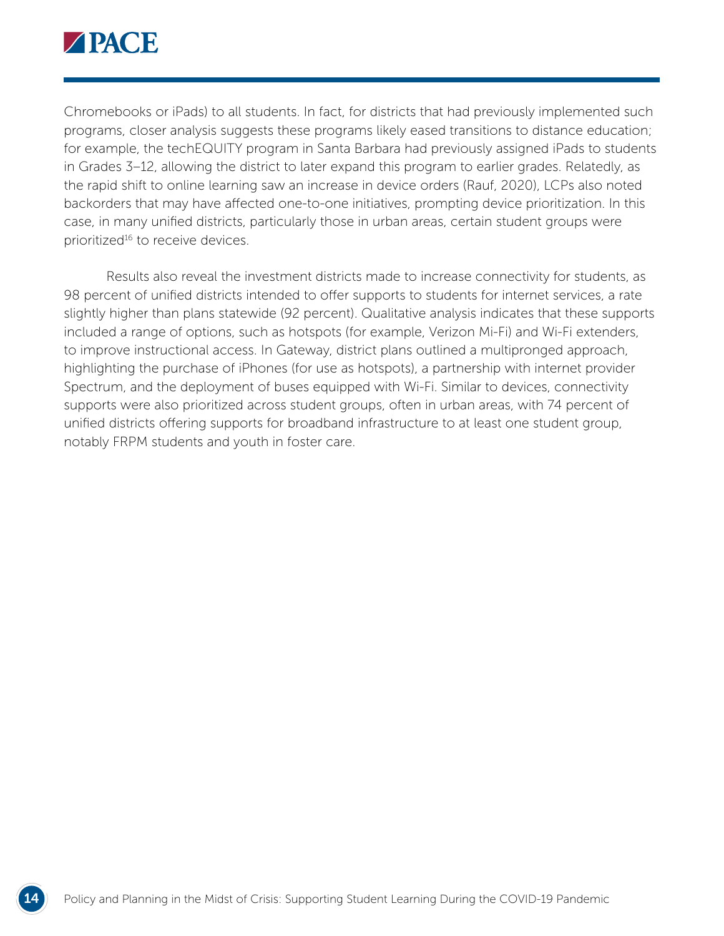

Chromebooks or iPads) to all students. In fact, for districts that had previously implemented such programs, closer analysis suggests these programs likely eased transitions to distance education; for example, the techEQUITY program in Santa Barbara had previously assigned iPads to students in Grades 3–12, allowing the district to later expand this program to earlier grades. Relatedly, as the rapid shift to online learning saw an increase in device orders (Rauf, 2020), LCPs also noted backorders that may have affected one-to-one initiatives, prompting device prioritization. In this case, in many unified districts, particularly those in urban areas, certain student groups were prioritized<sup>16</sup> to receive devices.

Results also reveal the investment districts made to increase connectivity for students, as 98 percent of unified districts intended to offer supports to students for internet services, a rate slightly higher than plans statewide (92 percent). Qualitative analysis indicates that these supports included a range of options, such as hotspots (for example, Verizon Mi-Fi) and Wi-Fi extenders, to improve instructional access. In Gateway, district plans outlined a multipronged approach, highlighting the purchase of iPhones (for use as hotspots), a partnership with internet provider Spectrum, and the deployment of buses equipped with Wi-Fi. Similar to devices, connectivity supports were also prioritized across student groups, often in urban areas, with 74 percent of unified districts offering supports for broadband infrastructure to at least one student group, notably FRPM students and youth in foster care.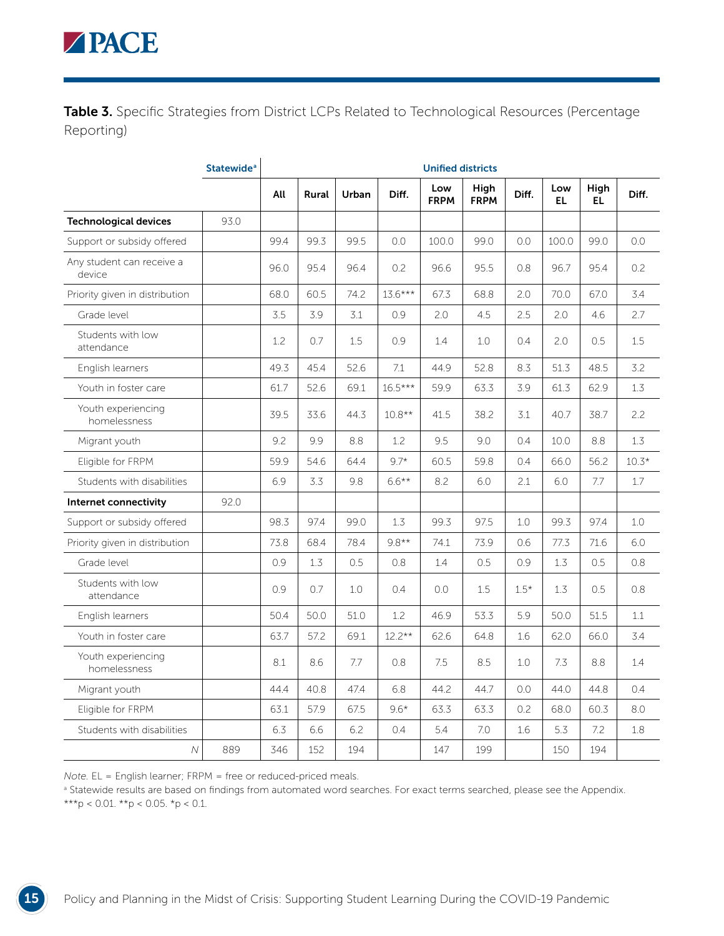Table 3. Specific Strategies from District LCPs Related to Technological Resources (Percentage Reporting)

|                                     | <b>Statewide<sup>a</sup></b> |      |       |       |           | <b>Unified districts</b> |                     |        |            |             |         |
|-------------------------------------|------------------------------|------|-------|-------|-----------|--------------------------|---------------------|--------|------------|-------------|---------|
|                                     |                              | All  | Rural | Urban | Diff.     | Low<br><b>FRPM</b>       | High<br><b>FRPM</b> | Diff.  | Low<br>EL. | High<br>EL. | Diff.   |
| <b>Technological devices</b>        | 93.0                         |      |       |       |           |                          |                     |        |            |             |         |
| Support or subsidy offered          |                              | 99.4 | 99.3  | 99.5  | 0.0       | 100.0                    | 99.0                | 0.0    | 100.0      | 99.0        | 0.0     |
| Any student can receive a<br>device |                              | 96.0 | 95.4  | 96.4  | 0.2       | 96.6                     | 95.5                | 0.8    | 96.7       | 95.4        | 0.2     |
| Priority given in distribution      |                              | 68.0 | 60.5  | 74.2  | $13.6***$ | 67.3                     | 68.8                | 2.0    | 70.0       | 67.0        | 3.4     |
| Grade level                         |                              | 3.5  | 3.9   | 3.1   | 0.9       | 2.0                      | 4.5                 | 2.5    | 2.0        | 4.6         | 2.7     |
| Students with low<br>attendance     |                              | 1.2  | 0.7   | 1.5   | 0.9       | 1.4                      | 1.0                 | 0.4    | 2.0        | 0.5         | 1.5     |
| English learners                    |                              | 49.3 | 45.4  | 52.6  | 7.1       | 44.9                     | 52.8                | 8.3    | 51.3       | 48.5        | 3.2     |
| Youth in foster care                |                              | 61.7 | 52.6  | 69.1  | $16.5***$ | 59.9                     | 63.3                | 3.9    | 61.3       | 62.9        | 1.3     |
| Youth experiencing<br>homelessness  |                              | 39.5 | 33.6  | 44.3  | $10.8**$  | 41.5                     | 38.2                | 3.1    | 40.7       | 38.7        | 2.2     |
| Migrant youth                       |                              | 9.2  | 9.9   | 8.8   | 1.2       | 9.5                      | 9.0                 | 0.4    | 10.0       | 8.8         | 1.3     |
| Eligible for FRPM                   |                              | 59.9 | 54.6  | 64.4  | $9.7*$    | 60.5                     | 59.8                | 0.4    | 66.0       | 56.2        | $10.3*$ |
| Students with disabilities          |                              | 6.9  | 3.3   | 9.8   | $6.6***$  | 8.2                      | 6.0                 | 2.1    | 6.0        | 7.7         | 1.7     |
| Internet connectivity               | 92.0                         |      |       |       |           |                          |                     |        |            |             |         |
| Support or subsidy offered          |                              | 98.3 | 97.4  | 99.0  | 1.3       | 99.3                     | 97.5                | 1.0    | 99.3       | 97.4        | 1.0     |
| Priority given in distribution      |                              | 73.8 | 68.4  | 78.4  | $9.8**$   | 74.1                     | 73.9                | 0.6    | 77.3       | 71.6        | 6.0     |
| Grade level                         |                              | 0.9  | 1.3   | 0.5   | 0.8       | 1.4                      | 0.5                 | 0.9    | 1.3        | 0.5         | 0.8     |
| Students with low<br>attendance     |                              | 0.9  | 0.7   | 1.0   | 0.4       | 0.0                      | 1.5                 | $1.5*$ | 1.3        | 0.5         | 0.8     |
| English learners                    |                              | 50.4 | 50.0  | 51.0  | 1.2       | 46.9                     | 53.3                | 5.9    | 50.0       | 51.5        | 1.1     |
| Youth in foster care                |                              | 63.7 | 57.2  | 69.1  | $12.2**$  | 62.6                     | 64.8                | 1.6    | 62.0       | 66.0        | 3.4     |
| Youth experiencing<br>homelessness  |                              | 8.1  | 8.6   | 7.7   | 0.8       | 7.5                      | 8.5                 | 1.0    | 7.3        | 8.8         | 1.4     |
| Migrant youth                       |                              | 44.4 | 40.8  | 47.4  | 6.8       | 44.2                     | 44.7                | 0.0    | 44.0       | 44.8        | 0.4     |
| Eligible for FRPM                   |                              | 63.1 | 57.9  | 67.5  | $9.6*$    | 63.3                     | 63.3                | 0.2    | 68.0       | 60.3        | 8.0     |
| Students with disabilities          |                              | 6.3  | 6.6   | 6.2   | 0.4       | 5.4                      | 7.0                 | 1.6    | 5.3        | 7.2         | 1.8     |
| $\mathcal N$                        | 889                          | 346  | 152   | 194   |           | 147                      | 199                 |        | 150        | 194         |         |

*Note.* EL = English learner; FRPM = free or reduced-priced meals.

**B** Statewide results are based on findings from automated word searches. For exact terms searched, please see the Appendix. \*\*\*p < 0.01. \*\*p < 0.05. \*p < 0.1.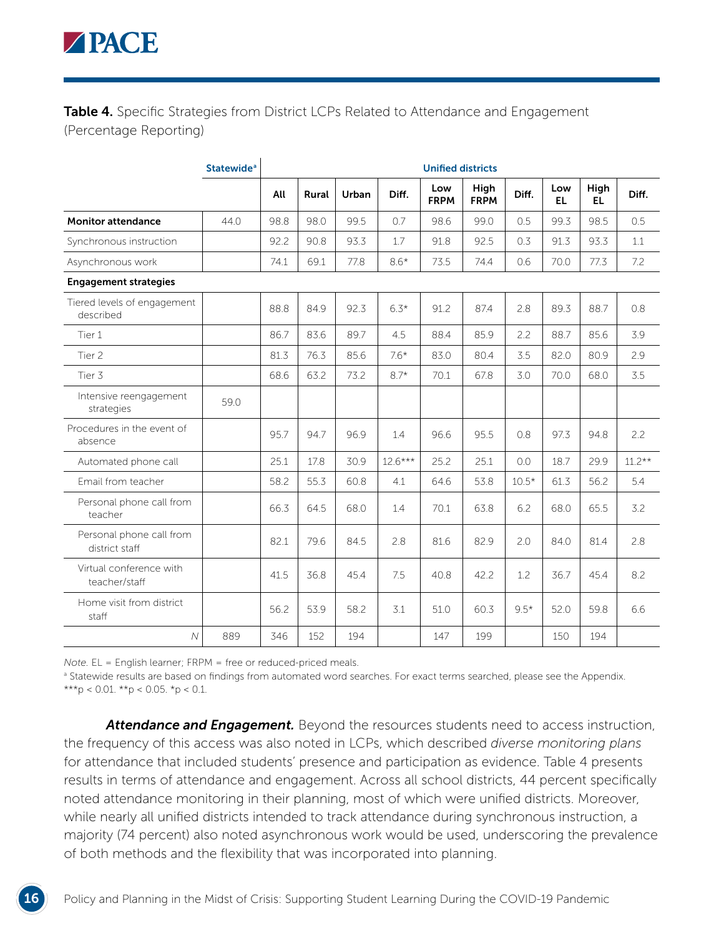Table 4. Specific Strategies from District LCPs Related to Attendance and Engagement (Percentage Reporting)

|                                            | <b>Statewide<sup>a</sup></b> |      | <b>Unified districts</b> |       |           |                    |                     |         |            |             |          |  |  |
|--------------------------------------------|------------------------------|------|--------------------------|-------|-----------|--------------------|---------------------|---------|------------|-------------|----------|--|--|
|                                            |                              | All  | Rural                    | Urban | Diff.     | Low<br><b>FRPM</b> | High<br><b>FRPM</b> | Diff.   | Low<br>EL. | High<br>EL. | Diff.    |  |  |
| <b>Monitor attendance</b>                  | 44.0                         | 98.8 | 98.0                     | 99.5  | 0.7       | 98.6               | 99.0                | 0.5     | 99.3       | 98.5        | 0.5      |  |  |
| Synchronous instruction                    |                              | 92.2 | 90.8                     | 93.3  | 1.7       | 91.8               | 92.5                | 0.3     | 91.3       | 93.3        | 1.1      |  |  |
| Asynchronous work                          |                              | 74.1 | 69.1                     | 77.8  | $8.6*$    | 73.5               | 74.4                | 0.6     | 70.0       | 77.3        | 7.2      |  |  |
| <b>Engagement strategies</b>               |                              |      |                          |       |           |                    |                     |         |            |             |          |  |  |
| Tiered levels of engagement<br>described   |                              | 88.8 | 84.9                     | 92.3  | $6.3*$    | 91.2               | 87.4                | 2.8     | 89.3       | 88.7        | 0.8      |  |  |
| Tier 1                                     |                              | 86.7 | 83.6                     | 89.7  | 4.5       | 88.4               | 85.9                | 2.2     | 88.7       | 85.6        | 3.9      |  |  |
| Tier <sub>2</sub>                          |                              | 81.3 | 76.3                     | 85.6  | $7.6*$    | 83.0               | 80.4                | 3.5     | 82.0       | 80.9        | 2.9      |  |  |
| Tier 3                                     |                              | 68.6 | 63.2                     | 73.2  | $8.7*$    | 70.1               | 67.8                | 3.0     | 70.0       | 68.0        | 3.5      |  |  |
| Intensive reengagement<br>strategies       | 59.0                         |      |                          |       |           |                    |                     |         |            |             |          |  |  |
| Procedures in the event of<br>absence      |                              | 95.7 | 94.7                     | 96.9  | 1.4       | 96.6               | 95.5                | 0.8     | 97.3       | 94.8        | 2.2      |  |  |
| Automated phone call                       |                              | 25.1 | 17.8                     | 30.9  | $12.6***$ | 25.2               | 25.1                | 0.0     | 18.7       | 29.9        | $11.2**$ |  |  |
| Email from teacher                         |                              | 58.2 | 55.3                     | 60.8  | 4.1       | 64.6               | 53.8                | $10.5*$ | 61.3       | 56.2        | 5.4      |  |  |
| Personal phone call from<br>teacher        |                              | 66.3 | 64.5                     | 68.0  | 1.4       | 70.1               | 63.8                | 6.2     | 68.0       | 65.5        | 3.2      |  |  |
| Personal phone call from<br>district staff |                              | 82.1 | 79.6                     | 84.5  | 2.8       | 81.6               | 82.9                | 2.0     | 84.0       | 81.4        | 2.8      |  |  |
| Virtual conference with<br>teacher/staff   |                              | 41.5 | 36.8                     | 45.4  | 7.5       | 40.8               | 42.2                | 1.2     | 36.7       | 45.4        | 8.2      |  |  |
| Home visit from district<br>staff          |                              | 56.2 | 53.9                     | 58.2  | 3.1       | 51.0               | 60.3                | $9.5*$  | 52.0       | 59.8        | 6.6      |  |  |
| $\cal N$                                   | 889                          | 346  | 152                      | 194   |           | 147                | 199                 |         | 150        | 194         |          |  |  |

*Note.* EL = English learner; FRPM = free or reduced-priced meals.

**<sup>a</sup> Statewide results are based on findings from automated word searches. For exact terms searched, please see the Appendix.** \*\*\*p < 0.01. \*\*p < 0.05. \*p < 0.1.

*Attendance and Engagement.* Beyond the resources students need to access instruction, the frequency of this access was also noted in LCPs, which described *diverse monitoring plans* for attendance that included students' presence and participation as evidence. Table 4 presents results in terms of attendance and engagement. Across all school districts, 44 percent specifically noted attendance monitoring in their planning, most of which were unified districts. Moreover, while nearly all unified districts intended to track attendance during synchronous instruction, a majority (74 percent) also noted asynchronous work would be used, underscoring the prevalence of both methods and the flexibility that was incorporated into planning.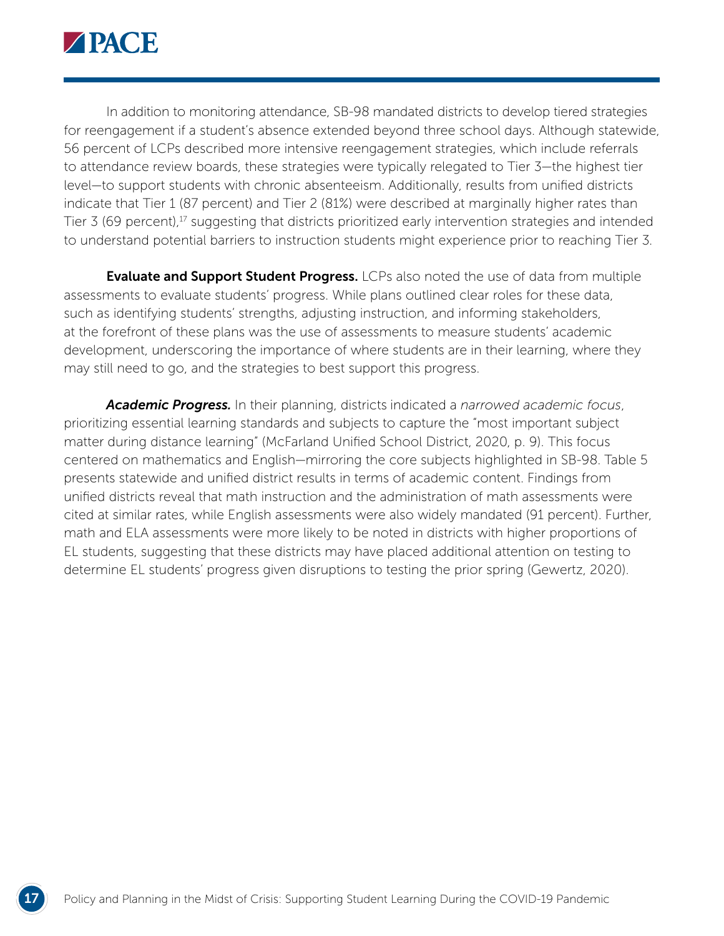

In addition to monitoring attendance, SB-98 mandated districts to develop tiered strategies for reengagement if a student's absence extended beyond three school days. Although statewide, 56 percent of LCPs described more intensive reengagement strategies, which include referrals to attendance review boards, these strategies were typically relegated to Tier 3—the highest tier level—to support students with chronic absenteeism. Additionally, results from unified districts indicate that Tier 1 (87 percent) and Tier 2 (81%) were described at marginally higher rates than Tier 3 (69 percent),<sup>17</sup> suggesting that districts prioritized early intervention strategies and intended to understand potential barriers to instruction students might experience prior to reaching Tier 3.

**Evaluate and Support Student Progress.** LCPs also noted the use of data from multiple assessments to evaluate students' progress. While plans outlined clear roles for these data, such as identifying students' strengths, adjusting instruction, and informing stakeholders, at the forefront of these plans was the use of assessments to measure students' academic development, underscoring the importance of where students are in their learning, where they may still need to go, and the strategies to best support this progress.

*Academic Progress.* In their planning, districts indicated a *narrowed academic focus*, prioritizing essential learning standards and subjects to capture the "most important subject matter during distance learning" (McFarland Unified School District, 2020, p. 9). This focus centered on mathematics and English—mirroring the core subjects highlighted in SB-98. Table 5 presents statewide and unified district results in terms of academic content. Findings from unified districts reveal that math instruction and the administration of math assessments were cited at similar rates, while English assessments were also widely mandated (91 percent). Further, math and ELA assessments were more likely to be noted in districts with higher proportions of EL students, suggesting that these districts may have placed additional attention on testing to determine EL students' progress given disruptions to testing the prior spring (Gewertz, 2020).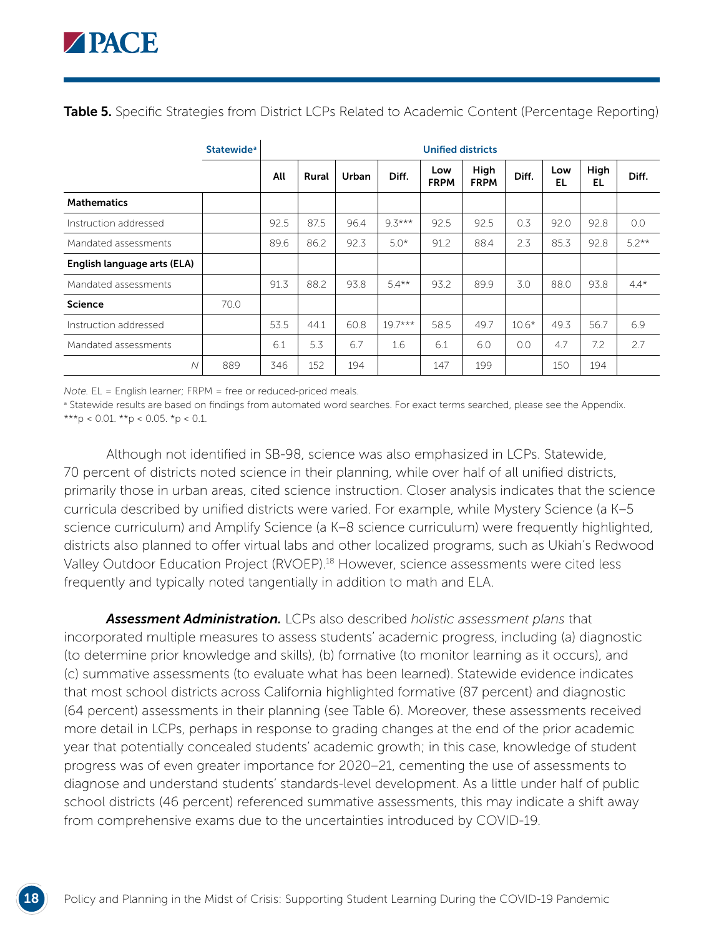**Table 5.** Specific Strategies from District LCPs Related to Academic Content (Percentage Reporting)

|                             | <b>Statewide</b> <sup>a</sup> |      | <b>Unified districts</b> |       |           |                    |                     |         |           |            |         |  |  |
|-----------------------------|-------------------------------|------|--------------------------|-------|-----------|--------------------|---------------------|---------|-----------|------------|---------|--|--|
|                             |                               | All  | Rural                    | Urban | Diff.     | Low<br><b>FRPM</b> | High<br><b>FRPM</b> | Diff.   | Low<br>EL | High<br>EL | Diff.   |  |  |
| <b>Mathematics</b>          |                               |      |                          |       |           |                    |                     |         |           |            |         |  |  |
| Instruction addressed       |                               | 92.5 | 87.5                     | 96.4  | $9.3***$  | 92.5               | 92.5                | 0.3     | 92.0      | 92.8       | 0.0     |  |  |
| Mandated assessments        |                               | 89.6 | 86.2                     | 92.3  | $5.0*$    | 91.2               | 88.4                | 2.3     | 85.3      | 92.8       | $5.2**$ |  |  |
| English language arts (ELA) |                               |      |                          |       |           |                    |                     |         |           |            |         |  |  |
| Mandated assessments        |                               | 91.3 | 88.2                     | 93.8  | $5.4**$   | 93.2               | 89.9                | 3.0     | 88.0      | 93.8       | $4.4*$  |  |  |
| <b>Science</b>              | 70.0                          |      |                          |       |           |                    |                     |         |           |            |         |  |  |
| Instruction addressed       |                               | 53.5 | 44.1                     | 60.8  | $19.7***$ | 58.5               | 49.7                | $10.6*$ | 49.3      | 56.7       | 6.9     |  |  |
| Mandated assessments        |                               | 6.1  | 5.3                      | 6.7   | 1.6       | 6.1                | 6.0                 | 0.0     | 4.7       | 7.2        | 2.7     |  |  |
| $\overline{N}$              | 889                           | 346  | 152                      | 194   |           | 147                | 199                 |         | 150       | 194        |         |  |  |

*Note.* EL = English learner; FRPM = free or reduced-priced meals.

**B** Statewide results are based on findings from automated word searches. For exact terms searched, please see the Appendix. \*\*\*p < 0.01. \*\*p < 0.05. \*p < 0.1.

Although not identified in SB-98, science was also emphasized in LCPs. Statewide, 70 percent of districts noted science in their planning, while over half of all unified districts, primarily those in urban areas, cited science instruction. Closer analysis indicates that the science curricula described by unified districts were varied. For example, while Mystery Science (a K–5 science curriculum) and Amplify Science (a K-8 science curriculum) were frequently highlighted, districts also planned to offer virtual labs and other localized programs, such as Ukiah's Redwood Valley Outdoor Education Project (RVOEP).18 However, science assessments were cited less frequently and typically noted tangentially in addition to math and ELA.

*Assessment Administration.* LCPs also described *holistic assessment plans* that incorporated multiple measures to assess students' academic progress, including (a) diagnostic (to determine prior knowledge and skills), (b) formative (to monitor learning as it occurs), and (c) summative assessments (to evaluate what has been learned). Statewide evidence indicates that most school districts across California highlighted formative (87 percent) and diagnostic (64 percent) assessments in their planning (see Table 6). Moreover, these assessments received more detail in LCPs, perhaps in response to grading changes at the end of the prior academic year that potentially concealed students' academic growth; in this case, knowledge of student progress was of even greater importance for 2020–21, cementing the use of assessments to diagnose and understand students' standards-level development. As a little under half of public school districts (46 percent) referenced summative assessments, this may indicate a shift away from comprehensive exams due to the uncertainties introduced by COVID-19.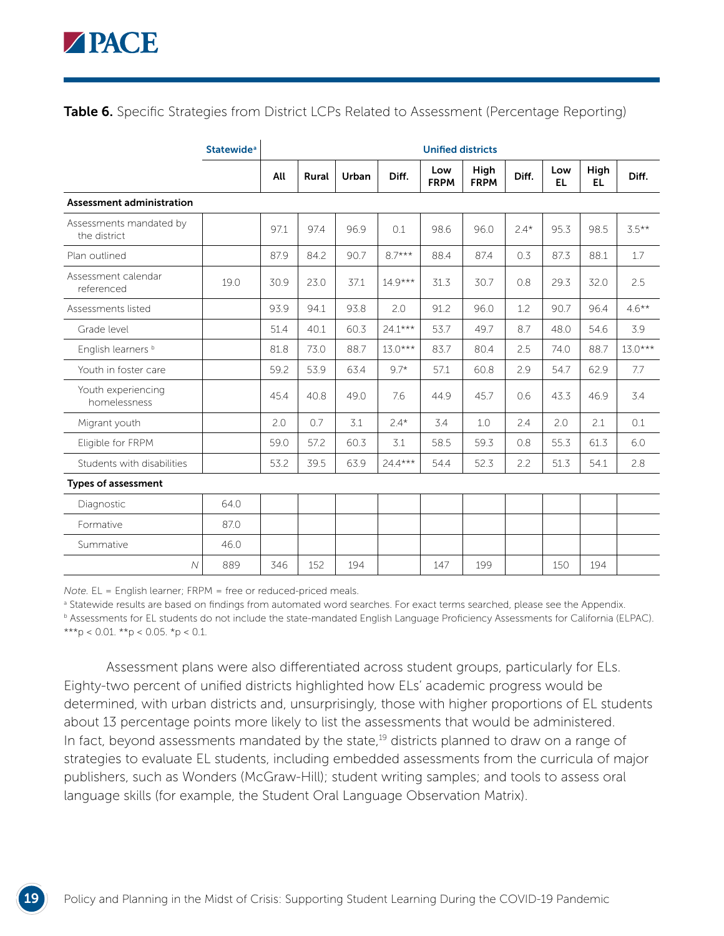Table 6. Specific Strategies from District LCPs Related to Assessment (Percentage Reporting)

|                                         | <b>Statewide</b> <sup>a</sup> |      | <b>Unified districts</b> |       |           |                    |                     |        |                  |             |           |  |
|-----------------------------------------|-------------------------------|------|--------------------------|-------|-----------|--------------------|---------------------|--------|------------------|-------------|-----------|--|
|                                         |                               | All  | Rural                    | Urban | Diff.     | Low<br><b>FRPM</b> | High<br><b>FRPM</b> | Diff.  | Low<br><b>EL</b> | High<br>EL. | Diff.     |  |
| Assessment administration               |                               |      |                          |       |           |                    |                     |        |                  |             |           |  |
| Assessments mandated by<br>the district |                               | 97.1 | 97.4                     | 96.9  | 0.1       | 98.6               | 96.0                | $2.4*$ | 95.3             | 98.5        | $3.5***$  |  |
| Plan outlined                           |                               | 87.9 | 84.2                     | 90.7  | $8.7***$  | 88.4               | 87.4                | 0.3    | 87.3             | 88.1        | 1.7       |  |
| Assessment calendar<br>referenced       | 19.0                          | 30.9 | 23.0                     | 37.1  | $14.9***$ | 31.3               | 30.7                | 0.8    | 29.3             | 32.0        | 2.5       |  |
| Assessments listed                      |                               | 93.9 | 94.1                     | 93.8  | 2.0       | 91.2               | 96.0                | 1.2    | 90.7             | 96.4        | $4.6***$  |  |
| Grade level                             |                               | 51.4 | 40.1                     | 60.3  | $24.1***$ | 53.7               | 49.7                | 8.7    | 48.0             | 54.6        | 3.9       |  |
| English learners <sup>b</sup>           |                               | 81.8 | 73.0                     | 88.7  | $13.0***$ | 83.7               | 80.4                | 2.5    | 74.0             | 88.7        | $13.0***$ |  |
| Youth in foster care                    |                               | 59.2 | 53.9                     | 63.4  | $9.7*$    | 57.1               | 60.8                | 2.9    | 54.7             | 62.9        | 7.7       |  |
| Youth experiencing<br>homelessness      |                               | 45.4 | 40.8                     | 49.0  | 7.6       | 44.9               | 45.7                | 0.6    | 43.3             | 46.9        | 3.4       |  |
| Migrant youth                           |                               | 2.0  | 0.7                      | 3.1   | $2.4*$    | 3.4                | 1.0                 | 2.4    | 2.0              | 2.1         | 0.1       |  |
| Eligible for FRPM                       |                               | 59.0 | 57.2                     | 60.3  | 3.1       | 58.5               | 59.3                | 0.8    | 55.3             | 61.3        | 6.0       |  |
| Students with disabilities              |                               | 53.2 | 39.5                     | 63.9  | $24.4***$ | 54.4               | 52.3                | 2.2    | 51.3             | 54.1        | 2.8       |  |
| <b>Types of assessment</b>              |                               |      |                          |       |           |                    |                     |        |                  |             |           |  |
| Diagnostic                              | 64.0                          |      |                          |       |           |                    |                     |        |                  |             |           |  |
| Formative                               | 87.0                          |      |                          |       |           |                    |                     |        |                  |             |           |  |
| Summative                               | 46.0                          |      |                          |       |           |                    |                     |        |                  |             |           |  |
| $\overline{N}$                          | 889                           | 346  | 152                      | 194   |           | 147                | 199                 |        | 150              | 194         |           |  |

*Note.* EL = English learner; FRPM = free or reduced-priced meals.

**B** Statewide results are based on findings from automated word searches. For exact terms searched, please see the Appendix. b Assessments for EL students do not include the state-mandated English Language Proficiency Assessments for California (ELPAC). \*\*\*p < 0.01. \*\*p < 0.05. \*p < 0.1.

Assessment plans were also differentiated across student groups, particularly for ELs. Eighty-two percent of unified districts highlighted how ELs' academic progress would be determined, with urban districts and, unsurprisingly, those with higher proportions of EL students about 13 percentage points more likely to list the assessments that would be administered. In fact, beyond assessments mandated by the state,<sup>19</sup> districts planned to draw on a range of strategies to evaluate EL students, including embedded assessments from the curricula of major publishers, such as Wonders (McGraw-Hill); student writing samples; and tools to assess oral language skills (for example, the Student Oral Language Observation Matrix).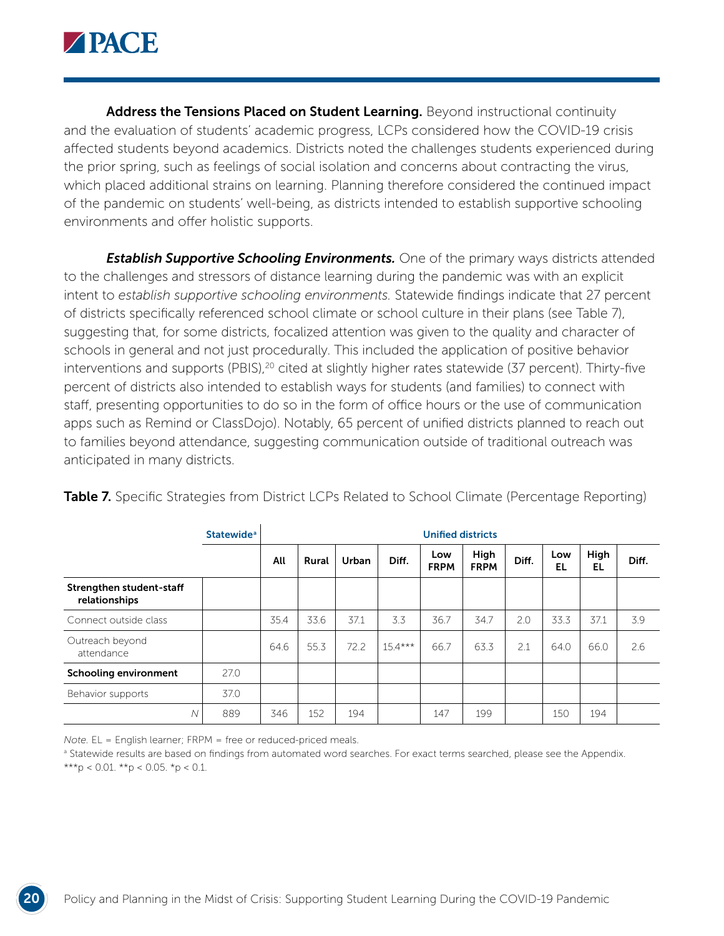

Address the Tensions Placed on Student Learning. Beyond instructional continuity and the evaluation of students' academic progress, LCPs considered how the COVID-19 crisis affected students beyond academics. Districts noted the challenges students experienced during the prior spring, such as feelings of social isolation and concerns about contracting the virus, which placed additional strains on learning. Planning therefore considered the continued impact of the pandemic on students' well-being, as districts intended to establish supportive schooling environments and offer holistic supports.

**Establish Supportive Schooling Environments.** One of the primary ways districts attended to the challenges and stressors of distance learning during the pandemic was with an explicit intent to *establish supportive schooling environments.* Statewide findings indicate that 27 percent of districts specifically referenced school climate or school culture in their plans (see Table 7), suggesting that, for some districts, focalized attention was given to the quality and character of schools in general and not just procedurally. This included the application of positive behavior interventions and supports (PBIS),<sup>20</sup> cited at slightly higher rates statewide (37 percent). Thirty-five percent of districts also intended to establish ways for students (and families) to connect with staff, presenting opportunities to do so in the form of office hours or the use of communication apps such as Remind or ClassDojo). Notably, 65 percent of unified districts planned to reach out to families beyond attendance, suggesting communication outside of traditional outreach was anticipated in many districts.

|                                           | <b>Statewide</b> <sup>a</sup> |      | <b>Unified districts</b> |       |           |                    |                     |       |           |            |       |  |
|-------------------------------------------|-------------------------------|------|--------------------------|-------|-----------|--------------------|---------------------|-------|-----------|------------|-------|--|
|                                           |                               | All  | Rural                    | Urban | Diff.     | Low<br><b>FRPM</b> | High<br><b>FRPM</b> | Diff. | Low<br>EL | High<br>EL | Diff. |  |
| Strengthen student-staff<br>relationships |                               |      |                          |       |           |                    |                     |       |           |            |       |  |
| Connect outside class                     |                               | 35.4 | 33.6                     | 37.1  | 3.3       | 36.7               | 34.7                | 2.0   | 33.3      | 37.1       | 3.9   |  |
| Outreach beyond<br>attendance             |                               | 64.6 | 55.3                     | 72.2  | $15.4***$ | 66.7               | 63.3                | 2.1   | 64.0      | 66.0       | 2.6   |  |
| Schooling environment                     | 27.0                          |      |                          |       |           |                    |                     |       |           |            |       |  |
| Behavior supports                         | 37.0                          |      |                          |       |           |                    |                     |       |           |            |       |  |
| $\overline{\mathcal{N}}$                  | 889                           | 346  | 152                      | 194   |           | 147                | 199                 |       | 150       | 194        |       |  |

Table 7. Specific Strategies from District LCPs Related to School Climate (Percentage Reporting)

*Note.* EL = English learner; FRPM = free or reduced-priced meals.

**B** Statewide results are based on findings from automated word searches. For exact terms searched, please see the Appendix. \*\*\*p < 0.01. \*\*p < 0.05. \*p < 0.1.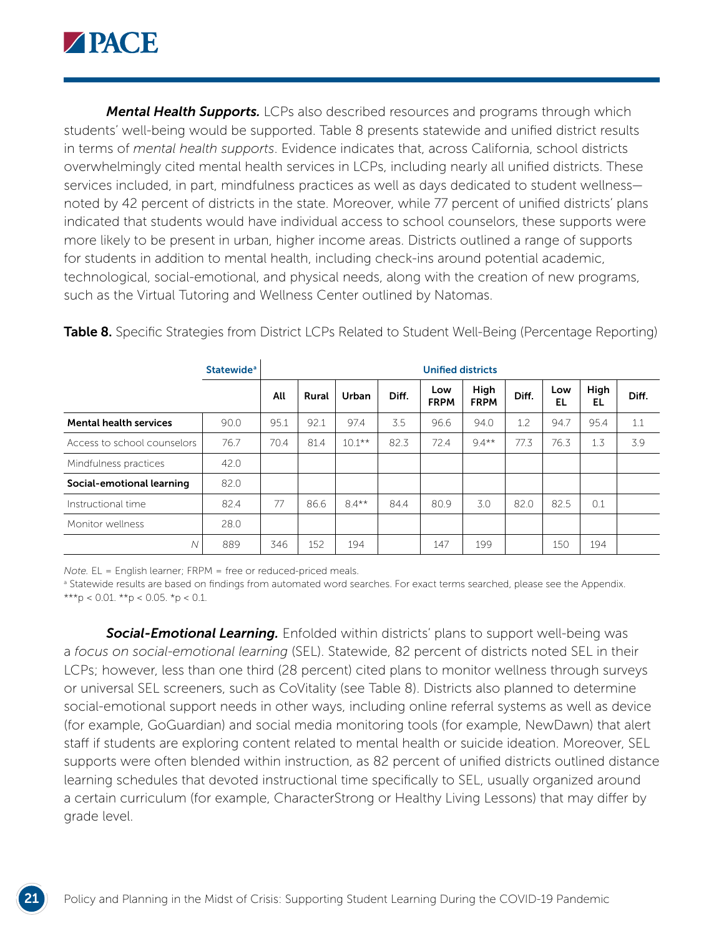

*Mental Health Supports.* LCPs also described resources and programs through which students' well-being would be supported. Table 8 presents statewide and unified district results in terms of *mental health supports*. Evidence indicates that, across California, school districts overwhelmingly cited mental health services in LCPs, including nearly all unified districts. These services included, in part, mindfulness practices as well as days dedicated to student wellness noted by 42 percent of districts in the state. Moreover, while 77 percent of unified districts' plans indicated that students would have individual access to school counselors, these supports were more likely to be present in urban, higher income areas. Districts outlined a range of supports for students in addition to mental health, including check-ins around potential academic, technological, social-emotional, and physical needs, along with the creation of new programs, such as the Virtual Tutoring and Wellness Center outlined by Natomas.

|                               | <b>Statewide<sup>a</sup></b> |      | <b>Unified districts</b> |           |       |                    |                     |       |           |            |       |  |  |
|-------------------------------|------------------------------|------|--------------------------|-----------|-------|--------------------|---------------------|-------|-----------|------------|-------|--|--|
|                               |                              | All  | Rural                    | Urban     | Diff. | Low<br><b>FRPM</b> | High<br><b>FRPM</b> | Diff. | Low<br>EL | High<br>EL | Diff. |  |  |
| <b>Mental health services</b> | 90.0                         | 95.1 | 92.1                     | 97.4      | 3.5   | 96.6               | 94.0                | 1.2   | 94.7      | 95.4       | 1.1   |  |  |
| Access to school counselors   | 76.7                         | 70.4 | 81.4                     | $10.1***$ | 82.3  | 72.4               | $9.4**$             | 77.3  | 76.3      | 1.3        | 3.9   |  |  |
| Mindfulness practices         | 42.0                         |      |                          |           |       |                    |                     |       |           |            |       |  |  |
| Social-emotional learning     | 82.0                         |      |                          |           |       |                    |                     |       |           |            |       |  |  |
| Instructional time            | 82.4                         | 77   | 86.6                     | $8.4***$  | 84.4  | 80.9               | 3.0                 | 82.0  | 82.5      | 0.1        |       |  |  |
| Monitor wellness              | 28.0                         |      |                          |           |       |                    |                     |       |           |            |       |  |  |
| N                             | 889                          | 346  | 152                      | 194       |       | 147                | 199                 |       | 150       | 194        |       |  |  |

**Table 8.** Specific Strategies from District LCPs Related to Student Well-Being (Percentage Reporting)

*Note.* EL = English learner; FRPM = free or reduced-priced meals.

**B** Statewide results are based on findings from automated word searches. For exact terms searched, please see the Appendix. \*\*\*p < 0.01. \*\*p < 0.05. \*p < 0.1.

*Social-Emotional Learning.* Enfolded within districts' plans to support well-being was a *focus on social-emotional learning* (SEL). Statewide, 82 percent of districts noted SEL in their LCPs; however, less than one third (28 percent) cited plans to monitor wellness through surveys or universal SEL screeners, such as CoVitality (see Table 8). Districts also planned to determine social-emotional support needs in other ways, including online referral systems as well as device (for example, GoGuardian) and social media monitoring tools (for example, NewDawn) that alert staff if students are exploring content related to mental health or suicide ideation. Moreover, SEL supports were often blended within instruction, as 82 percent of unified districts outlined distance learning schedules that devoted instructional time specifically to SEL, usually organized around a certain curriculum (for example, CharacterStrong or Healthy Living Lessons) that may differ by grade level.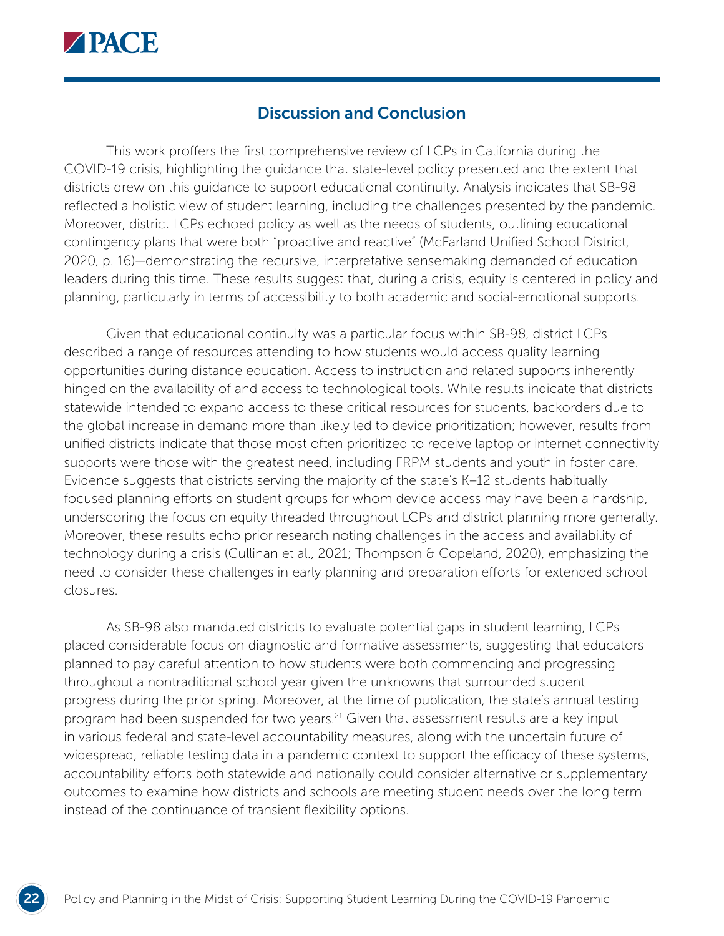

## Discussion and Conclusion

This work proffers the first comprehensive review of LCPs in California during the COVID-19 crisis, highlighting the guidance that state-level policy presented and the extent that districts drew on this guidance to support educational continuity. Analysis indicates that SB-98 reflected a holistic view of student learning, including the challenges presented by the pandemic. Moreover, district LCPs echoed policy as well as the needs of students, outlining educational contingency plans that were both "proactive and reactive" (McFarland Unified School District, 2020, p. 16)—demonstrating the recursive, interpretative sensemaking demanded of education leaders during this time. These results suggest that, during a crisis, equity is centered in policy and planning, particularly in terms of accessibility to both academic and social-emotional supports.

Given that educational continuity was a particular focus within SB-98, district LCPs described a range of resources attending to how students would access quality learning opportunities during distance education. Access to instruction and related supports inherently hinged on the availability of and access to technological tools. While results indicate that districts statewide intended to expand access to these critical resources for students, backorders due to the global increase in demand more than likely led to device prioritization; however, results from unified districts indicate that those most often prioritized to receive laptop or internet connectivity supports were those with the greatest need, including FRPM students and youth in foster care. Evidence suggests that districts serving the majority of the state's K–12 students habitually focused planning efforts on student groups for whom device access may have been a hardship, underscoring the focus on equity threaded throughout LCPs and district planning more generally. Moreover, these results echo prior research noting challenges in the access and availability of technology during a crisis (Cullinan et al., 2021; Thompson & Copeland, 2020), emphasizing the need to consider these challenges in early planning and preparation efforts for extended school closures.

As SB-98 also mandated districts to evaluate potential gaps in student learning, LCPs placed considerable focus on diagnostic and formative assessments, suggesting that educators planned to pay careful attention to how students were both commencing and progressing throughout a nontraditional school year given the unknowns that surrounded student progress during the prior spring. Moreover, at the time of publication, the state's annual testing program had been suspended for two years.<sup>21</sup> Given that assessment results are a key input in various federal and state-level accountability measures, along with the uncertain future of widespread, reliable testing data in a pandemic context to support the efficacy of these systems, accountability efforts both statewide and nationally could consider alternative or supplementary outcomes to examine how districts and schools are meeting student needs over the long term instead of the continuance of transient flexibility options.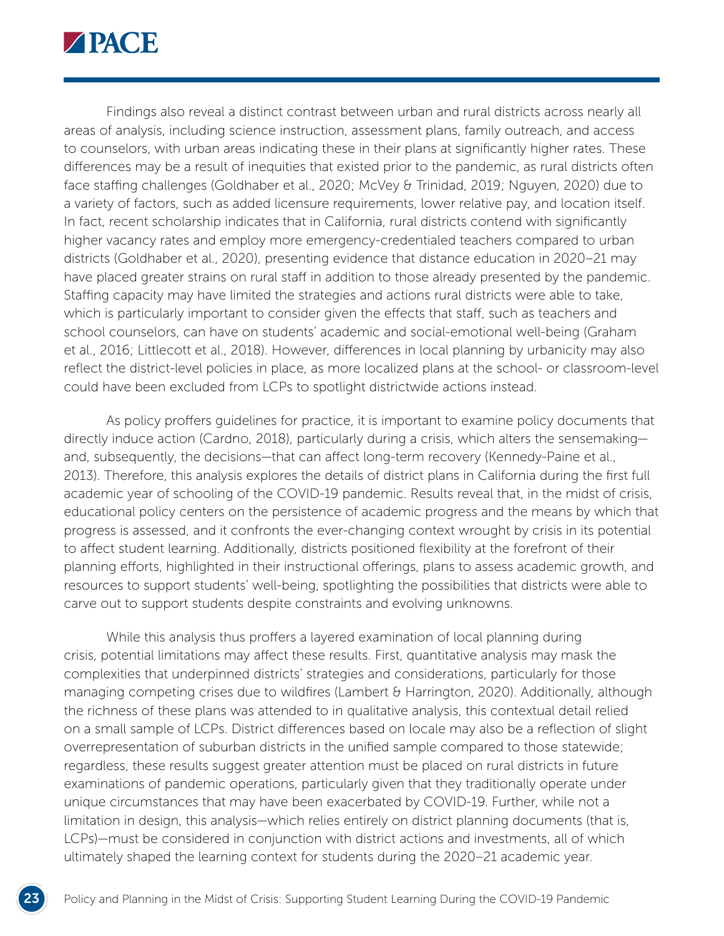

Findings also reveal a distinct contrast between urban and rural districts across nearly all areas of analysis, including science instruction, assessment plans, family outreach, and access to counselors, with urban areas indicating these in their plans at significantly higher rates. These differences may be a result of inequities that existed prior to the pandemic, as rural districts often face staffing challenges (Goldhaber et al., 2020; McVey & Trinidad, 2019; Nguyen, 2020) due to a variety of factors, such as added licensure requirements, lower relative pay, and location itself. In fact, recent scholarship indicates that in California, rural districts contend with significantly higher vacancy rates and employ more emergency-credentialed teachers compared to urban districts (Goldhaber et al., 2020), presenting evidence that distance education in 2020–21 may have placed greater strains on rural staff in addition to those already presented by the pandemic. Staffing capacity may have limited the strategies and actions rural districts were able to take, which is particularly important to consider given the effects that staff, such as teachers and school counselors, can have on students' academic and social-emotional well-being (Graham et al., 2016; Littlecott et al., 2018). However, differences in local planning by urbanicity may also reflect the district-level policies in place, as more localized plans at the school- or classroom-level could have been excluded from LCPs to spotlight districtwide actions instead.

As policy proffers guidelines for practice, it is important to examine policy documents that directly induce action (Cardno, 2018), particularly during a crisis, which alters the sensemaking and, subsequently, the decisions—that can affect long-term recovery (Kennedy-Paine et al., 2013). Therefore, this analysis explores the details of district plans in California during the first full academic year of schooling of the COVID-19 pandemic. Results reveal that, in the midst of crisis, educational policy centers on the persistence of academic progress and the means by which that progress is assessed, and it confronts the ever-changing context wrought by crisis in its potential to affect student learning. Additionally, districts positioned flexibility at the forefront of their planning efforts, highlighted in their instructional offerings, plans to assess academic growth, and resources to support students' well-being, spotlighting the possibilities that districts were able to carve out to support students despite constraints and evolving unknowns.

While this analysis thus proffers a layered examination of local planning during crisis, potential limitations may affect these results. First, quantitative analysis may mask the complexities that underpinned districts' strategies and considerations, particularly for those managing competing crises due to wildfires (Lambert & Harrington, 2020). Additionally, although the richness of these plans was attended to in qualitative analysis, this contextual detail relied on a small sample of LCPs. District differences based on locale may also be a reflection of slight overrepresentation of suburban districts in the unified sample compared to those statewide; regardless, these results suggest greater attention must be placed on rural districts in future examinations of pandemic operations, particularly given that they traditionally operate under unique circumstances that may have been exacerbated by COVID-19. Further, while not a limitation in design, this analysis—which relies entirely on district planning documents (that is, LCPs)—must be considered in conjunction with district actions and investments, all of which ultimately shaped the learning context for students during the 2020–21 academic year.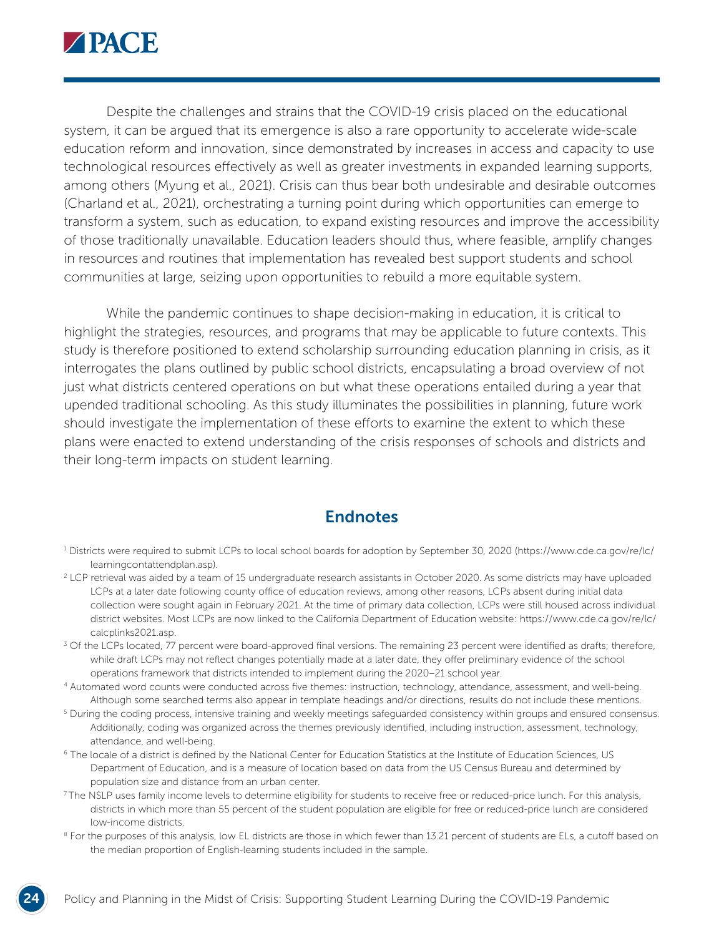

Despite the challenges and strains that the COVID-19 crisis placed on the educational system, it can be argued that its emergence is also a rare opportunity to accelerate wide-scale education reform and innovation, since demonstrated by increases in access and capacity to use technological resources effectively as well as greater investments in expanded learning supports, among others (Myung et al., 2021). Crisis can thus bear both undesirable and desirable outcomes (Charland et al., 2021), orchestrating a turning point during which opportunities can emerge to transform a system, such as education, to expand existing resources and improve the accessibility of those traditionally unavailable. Education leaders should thus, where feasible, amplify changes in resources and routines that implementation has revealed best support students and school communities at large, seizing upon opportunities to rebuild a more equitable system.

While the pandemic continues to shape decision-making in education, it is critical to highlight the strategies, resources, and programs that may be applicable to future contexts. This study is therefore positioned to extend scholarship surrounding education planning in crisis, as it interrogates the plans outlined by public school districts, encapsulating a broad overview of not just what districts centered operations on but what these operations entailed during a year that upended traditional schooling. As this study illuminates the possibilities in planning, future work should investigate the implementation of these efforts to examine the extent to which these plans were enacted to extend understanding of the crisis responses of schools and districts and their long-term impacts on student learning.

#### **Endnotes**

- <sup>1</sup> Districts were required to submit LCPs to local school boards for adoption by September 30, 2020 ([https://www.cde.ca.gov/re/lc/](https://www.cde.ca.gov/re/lc/learningcontattendplan.asp) [learningcontattendplan.asp](https://www.cde.ca.gov/re/lc/learningcontattendplan.asp)).
- 2 LCP retrieval was aided by a team of 15 undergraduate research assistants in October 2020. As some districts may have uploaded LCPs at a later date following county office of education reviews, among other reasons, LCPs absent during initial data collection were sought again in February 2021. At the time of primary data collection, LCPs were still housed across individual district websites. Most LCPs are now linked to the California Department of Education website: [https://www.cde.ca.gov/re/lc/](https://www.cde.ca.gov/re/lc/calcplinks2021.asp) [calcplinks2021.asp](https://www.cde.ca.gov/re/lc/calcplinks2021.asp).
- <sup>3</sup> Of the LCPs located, 77 percent were board-approved final versions. The remaining 23 percent were identified as drafts; therefore, while draft LCPs may not reflect changes potentially made at a later date, they offer preliminary evidence of the school operations framework that districts intended to implement during the 2020–21 school year.
- 4 Automated word counts were conducted across five themes: instruction, technology, attendance, assessment, and well-being. Although some searched terms also appear in template headings and/or directions, results do not include these mentions.
- <sup>5</sup> During the coding process, intensive training and weekly meetings safeguarded consistency within groups and ensured consensus. Additionally, coding was organized across the themes previously identified, including instruction, assessment, technology, attendance, and well-being.
- 6 The locale of a district is defined by the National Center for Education Statistics at the Institute of Education Sciences, US Department of Education, and is a measure of location based on data from the US Census Bureau and determined by population size and distance from an urban center.
- <sup>7</sup>The NSLP uses family income levels to determine eligibility for students to receive free or reduced-price lunch. For this analysis, districts in which more than 55 percent of the student population are eligible for free or reduced-price lunch are considered low-income districts.
- <sup>8</sup> For the purposes of this analysis, low EL districts are those in which fewer than 13.21 percent of students are ELs, a cutoff based on the median proportion of English-learning students included in the sample.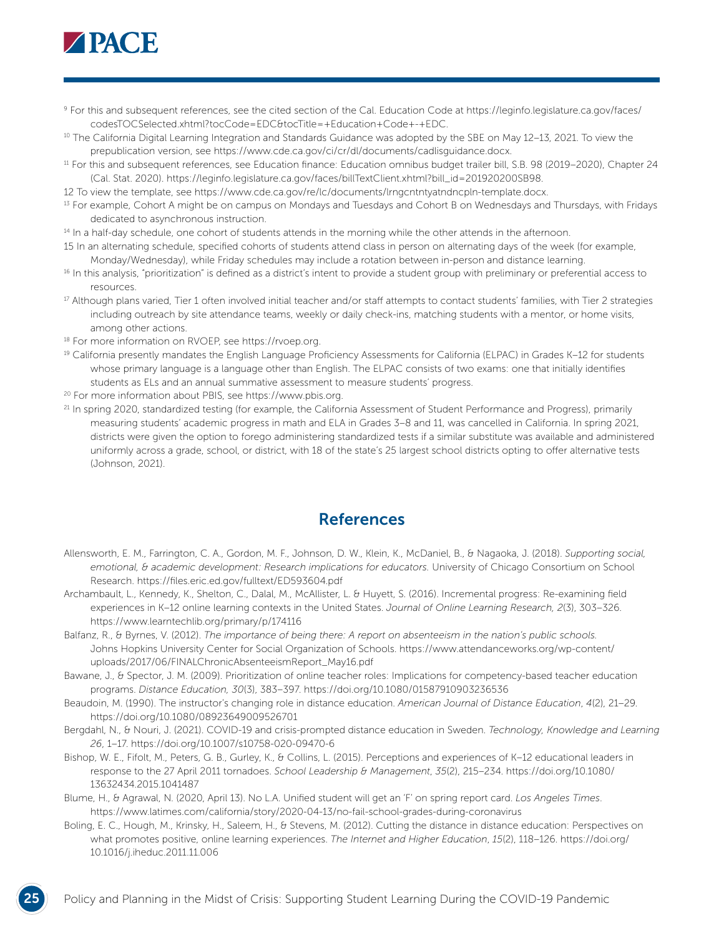

- 9 For this and subsequent references, see the cited section of the Cal. Education Code at [https://leginfo.legislature.ca.gov/faces/](https://leginfo.legislature.ca.gov/faces/codesTOCSelected.xhtml?tocCode=EDC&tocTitle=+Education+Code+-+EDC) [codesTOCSelected.xhtml?tocCode=EDC&tocTitle=+Education+Code+-+EDC](https://leginfo.legislature.ca.gov/faces/codesTOCSelected.xhtml?tocCode=EDC&tocTitle=+Education+Code+-+EDC).
- <sup>10</sup> The California Digital Learning Integration and Standards Guidance was adopted by the SBE on May 12-13, 2021. To view the prepublication version, see <https://www.cde.ca.gov/ci/cr/dl/documents/cadlisguidance.docx>.
- 11 For this and subsequent references, see Education finance: Education omnibus budget trailer bill, S.B. 98 (2019–2020), Chapter 24 (Cal. Stat. 2020). [https://leginfo.legislature.ca.gov/faces/billTextClient.xhtml?bill\\_id=201920200SB98.](https://leginfo.legislature.ca.gov/faces/billTextClient.xhtml?bill_id=201920200SB98)
- 12 To view the template, see <https://www.cde.ca.gov/re/lc/documents/lrngcntntyatndncpln-template.docx>.
- <sup>13</sup> For example, Cohort A might be on campus on Mondays and Tuesdays and Cohort B on Wednesdays and Thursdays, with Fridays dedicated to asynchronous instruction.
- <sup>14</sup> In a half-day schedule, one cohort of students attends in the morning while the other attends in the afternoon.
- 15 In an alternating schedule, specified cohorts of students attend class in person on alternating days of the week (for example, Monday/Wednesday), while Friday schedules may include a rotation between in-person and distance learning.
- <sup>16</sup> In this analysis, "prioritization" is defined as a district's intent to provide a student group with preliminary or preferential access to resources.
- <sup>17</sup> Although plans varied, Tier 1 often involved initial teacher and/or staff attempts to contact students' families, with Tier 2 strategies including outreach by site attendance teams, weekly or daily check-ins, matching students with a mentor, or home visits, among other actions.
- 18 For more information on RVOEP, see [https://rvoep.org.](https://rvoep.org/)
- 19 California presently mandates the English Language Proficiency Assessments for California (ELPAC) in Grades K–12 for students whose primary language is a language other than English. The ELPAC consists of two exams: one that initially identifies students as ELs and an annual summative assessment to measure students' progress.
- 20 For more information about PBIS, see <https://www.pbis.org>.
- <sup>21</sup> In spring 2020, standardized testing (for example, the California Assessment of Student Performance and Progress), primarily measuring students' academic progress in math and ELA in Grades 3–8 and 11, was cancelled in California. In spring 2021, districts were given the option to forego administering standardized tests if a similar substitute was available and administered uniformly across a grade, school, or district, with 18 of the state's 25 largest school districts opting to offer alternative tests (Johnson, 2021).

#### References

- Allensworth, E. M., Farrington, C. A., Gordon, M. F., Johnson, D. W., Klein, K., McDaniel, B., & Nagaoka, J. (2018). *Supporting social, emotional, & academic development: Research implications for educators.* University of Chicago Consortium on School Research.<https://files.eric.ed.gov/fulltext/ED593604.pdf>
- Archambault, L., Kennedy, K., Shelton, C., Dalal, M., McAllister, L. & Huyett, S. (2016). Incremental progress: Re-examining field experiences in K–12 online learning contexts in the United States. *Journal of Online Learning Research, 2*(3), 303–326. <https://www.learntechlib.org/primary/p/174116>
- Balfanz, R., & Byrnes, V. (2012). *The importance of being there: A report on absenteeism in the nation's public schools.* Johns Hopkins University Center for Social Organization of Schools. [https://www.attendanceworks.org/wp-content/](https://www.attendanceworks.org/wp-content/uploads/2017/06/FINALChronicAbsenteeismReport_May16.pdf) [uploads/2017/06/FINALChronicAbsenteeismReport\\_May16.pdf](https://www.attendanceworks.org/wp-content/uploads/2017/06/FINALChronicAbsenteeismReport_May16.pdf)
- Bawane, J., & Spector, J. M. (2009). Prioritization of online teacher roles: Implications for competency-based teacher education programs. *Distance Education, 30*(3), 383–397.<https://doi.org/10.1080/01587910903236536>
- Beaudoin, M. (1990). The instructor's changing role in distance education. *American Journal of Distance Education*, *4*(2), 21–29. <https://doi.org/10.1080/08923649009526701>
- Bergdahl, N., & Nouri, J. (2021). COVID-19 and crisis-prompted distance education in Sweden. *Technology, Knowledge and Learning 26*, 1–17. <https://doi.org/10.1007/s10758-020-09470-6>
- Bishop, W. E., Fifolt, M., Peters, G. B., Gurley, K., & Collins, L. (2015). Perceptions and experiences of K–12 educational leaders in response to the 27 April 2011 tornadoes. *School Leadership & Management*, *35*(2), 215–234. [https://doi.org/10.1080/](https://doi.org/10.1080/13632434.2015.1041487) [13632434.2015.1041487](https://doi.org/10.1080/13632434.2015.1041487)
- Blume, H., & Agrawal, N. (2020, April 13). No L.A. Unified student will get an 'F' on spring report card. *Los Angeles Times*. <https://www.latimes.com/california/story/2020-04-13/no-fail-school-grades-during-coronavirus>
- Boling, E. C., Hough, M., Krinsky, H., Saleem, H., & Stevens, M. (2012). Cutting the distance in distance education: Perspectives on what promotes positive, online learning experiences. *The Internet and Higher Education*, *15*(2), 118–126. [https://doi.org/](https://doi.org/10.1016/j.iheduc.2011.11.006) [10.1016/j.iheduc.2011.11.006](https://doi.org/10.1016/j.iheduc.2011.11.006)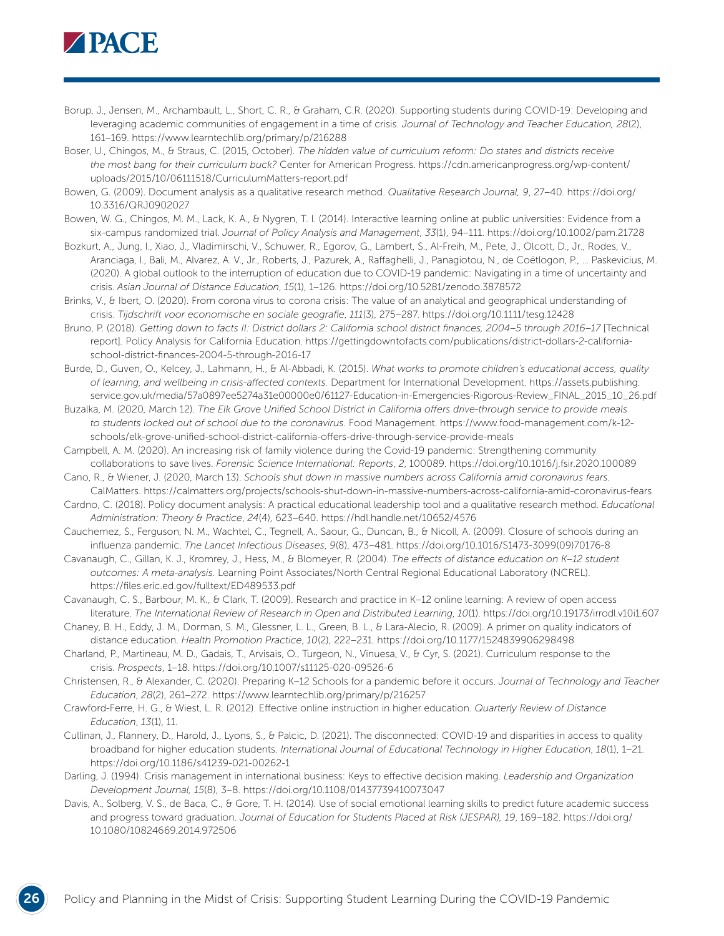

- Borup, J., Jensen, M., Archambault, L., Short, C. R., & Graham, C.R. (2020). Supporting students during COVID-19: Developing and leveraging academic communities of engagement in a time of crisis. *Journal of Technology and Teacher Education, 28*(2), 161–169. <https://www.learntechlib.org/primary/p/216288>
- Boser, U., Chingos, M., & Straus, C. (2015, October). *The hidden value of curriculum reform: Do states and districts receive the most bang for their curriculum buck?* Center for American Progress. [https://cdn.americanprogress.org/wp-content/](https://cdn.americanprogress.org/wp-content/uploads/2015/10/06111518/CurriculumMatters-report.pdf) [uploads/2015/10/06111518/CurriculumMatters-report.pdf](https://cdn.americanprogress.org/wp-content/uploads/2015/10/06111518/CurriculumMatters-report.pdf)
- Bowen, G. (2009). Document analysis as a qualitative research method. *Qualitative Research Journal, 9*, 27–40. [https://doi.org/](https://doi.org/10.3316/QRJ0902027) [10.3316/QRJ0902027](https://doi.org/10.3316/QRJ0902027)
- Bowen, W. G., Chingos, M. M., Lack, K. A., & Nygren, T. I. (2014). Interactive learning online at public universities: Evidence from a six-campus randomized trial. *Journal of Policy Analysis and Management*, *33*(1), 94–111.<https://doi.org/10.1002/pam.21728>
- Bozkurt, A., Jung, I., Xiao, J., Vladimirschi, V., Schuwer, R., Egorov, G., Lambert, S., Al-Freih, M., Pete, J., Olcott, D., Jr., Rodes, V., Aranciaga, I., Bali, M., Alvarez, A. V., Jr., Roberts, J., Pazurek, A., Raffaghelli, J., Panagiotou, N., de Coëtlogon, P., … Paskevicius, M. (2020). A global outlook to the interruption of education due to COVID-19 pandemic: Navigating in a time of uncertainty and crisis. *Asian Journal of Distance Education*, *15*(1), 1–126.<https://doi.org/10.5281/zenodo.3878572>
- Brinks, V., & Ibert, O. (2020). From corona virus to corona crisis: The value of an analytical and geographical understanding of crisis. *Tijdschrift voor economische en sociale geografie*, *111*(3), 275–287.<https://doi.org/10.1111/tesg.12428>
- Bruno, P. (2018). *Getting down to facts II: District dollars 2: California school district finances, 2004*–*5 through 2016*–*17* [Technical report]*.* Policy Analysis for California Education. [https://gettingdowntofacts.com/publications/district-dollars-2-california](https://gettingdowntofacts.com/publications/district-dollars-2-california-school-district-finances-2004-5-through-2016-17)[school-district-finances-2004-5-through-2016-17](https://gettingdowntofacts.com/publications/district-dollars-2-california-school-district-finances-2004-5-through-2016-17)
- Burde, D., Guven, O., Kelcey, J., Lahmann, H., & Al-Abbadi, K. (2015). *What works to promote children's educational access, quality of learning, and wellbeing in crisis-affected contexts.* Department for International Development. [https://assets.publishing.](https://assets.publishing.service.gov.uk/media/57a0897ee5274a31e00000e0/61127-Education-in-Emergencies-Rigorous-Review_FINAL_2015_10_26.pdf) [service.gov.uk/media/57a0897ee5274a31e00000e0/61127-Education-in-Emergencies-Rigorous-Review\\_FINAL\\_2015\\_10\\_26.pdf](https://assets.publishing.service.gov.uk/media/57a0897ee5274a31e00000e0/61127-Education-in-Emergencies-Rigorous-Review_FINAL_2015_10_26.pdf)
- Buzalka, M. (2020, March 12). *The Elk Grove Unified School District in California offers drive-through service to provide meals to students locked out of school due to the coronavirus.* Food Management. [https://www.food-management.com/k-12](https://www.food-management.com/k-12-schools/elk-grove-unified-school-district-california-offers-drive-through-service-provide-meals) [schools/elk-grove-unified-school-district-california-offers-drive-through-service-provide-meals](https://www.food-management.com/k-12-schools/elk-grove-unified-school-district-california-offers-drive-through-service-provide-meals)
- Campbell, A. M. (2020). An increasing risk of family violence during the Covid-19 pandemic: Strengthening community collaborations to save lives. *Forensic Science International: Reports*, *2*, 100089.<https://doi.org/10.1016/j.fsir.2020.100089>
- Cano, R., & Wiener, J. (2020, March 13). *Schools shut down in massive numbers across California amid coronavirus fears.* CalMatters. <https://calmatters.org/projects/schools-shut-down-in-massive-numbers-across-california-amid-coronavirus-fears>
- Cardno, C. (2018). Policy document analysis: A practical educational leadership tool and a qualitative research method. *Educational Administration: Theory & Practice*, *24*(4), 623–640. <https://hdl.handle.net/10652/4576>
- Cauchemez, S., Ferguson, N. M., Wachtel, C., Tegnell, A., Saour, G., Duncan, B., & Nicoll, A. (2009). Closure of schools during an influenza pandemic. *The Lancet Infectious Diseases*, *9*(8), 473–481. [https://doi.org/10.1016/S1473-3099\(09\)70176-8](https://doi.org/10.1016/S1473-3099(09)70176-8)
- Cavanaugh, C., Gillan, K. J., Kromrey, J., Hess, M., & Blomeyer, R. (2004). *The effects of distance education on K–12 student outcomes: A meta-analysis.* Learning Point Associates/North Central Regional Educational Laboratory (NCREL). <https://files.eric.ed.gov/fulltext/ED489533.pdf>
- Cavanaugh, C. S., Barbour, M. K., & Clark, T. (2009). Research and practice in K–12 online learning: A review of open access literature. *The International Review of Research in Open and Distributed Learning*, *10*(1). <https://doi.org/10.19173/irrodl.v10i1.607>
- Chaney, B. H., Eddy, J. M., Dorman, S. M., Glessner, L. L., Green, B. L., & Lara-Alecio, R. (2009). A primer on quality indicators of distance education. *Health Promotion Practice*, *10*(2), 222–231.<https://doi.org/10.1177/1524839906298498>
- Charland, P., Martineau, M. D., Gadais, T., Arvisais, O., Turgeon, N., Vinuesa, V., & Cyr, S. (2021). Curriculum response to the crisis. *Prospects*, 1–18.<https://doi.org/10.1007/s11125-020-09526-6>
- Christensen, R., & Alexander, C. (2020). Preparing K–12 Schools for a pandemic before it occurs. *Journal of Technology and Teacher Education*, *28*(2), 261–272. <https://www.learntechlib.org/primary/p/216257>
- Crawford-Ferre, H. G., & Wiest, L. R. (2012). Effective online instruction in higher education. *Quarterly Review of Distance Education*, *13*(1), 11.
- Cullinan, J., Flannery, D., Harold, J., Lyons, S., & Palcic, D. (2021). The disconnected: COVID-19 and disparities in access to quality broadband for higher education students. *International Journal of Educational Technology in Higher Education*, *18*(1), 1–21. <https://doi.org/10.1186/s41239-021-00262-1>
- Darling, J. (1994). Crisis management in international business: Keys to effective decision making. *Leadership and Organization Development Journal, 15*(8), 3–8. <https://doi.org/10.1108/01437739410073047>
- Davis, A., Solberg, V. S., de Baca, C., & Gore, T. H. (2014). Use of social emotional learning skills to predict future academic success and progress toward graduation. *Journal of Education for Students Placed at Risk (JESPAR), 19*, 169–182. [https://doi.org/](https://doi.org/10.1080/10824669.2014.972506) [10.1080/10824669.2014.972506](https://doi.org/10.1080/10824669.2014.972506)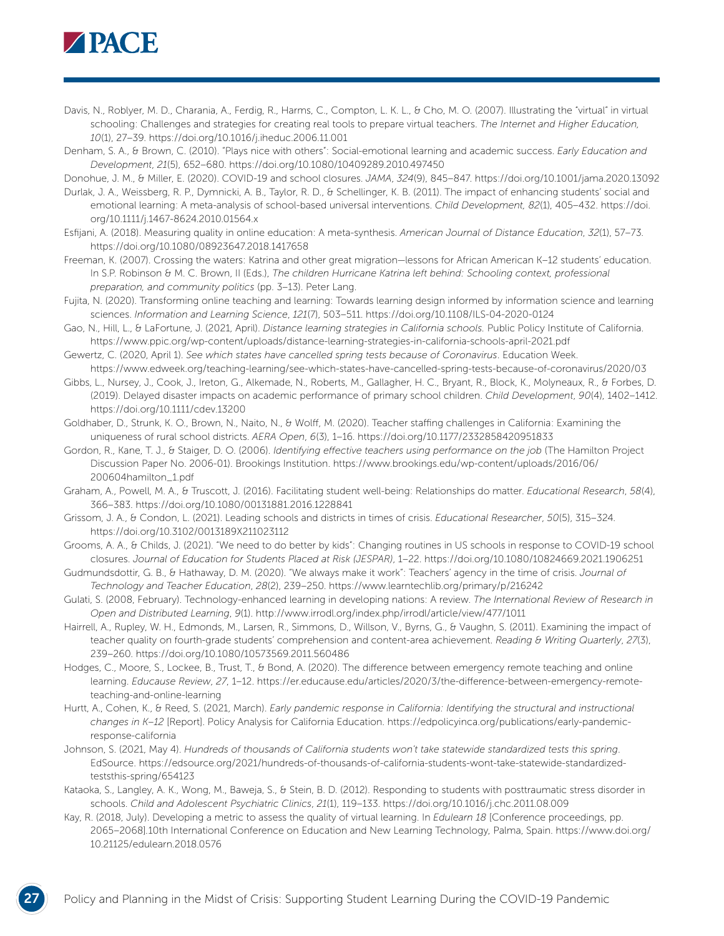

- Davis, N., Roblyer, M. D., Charania, A., Ferdig, R., Harms, C., Compton, L. K. L., & Cho, M. O. (2007). Illustrating the "virtual" in virtual schooling: Challenges and strategies for creating real tools to prepare virtual teachers. *The Internet and Higher Education, 10*(1), 27–39. <https://doi.org/10.1016/j.iheduc.2006.11.001>
- Denham, S. A., & Brown, C. (2010). "Plays nice with others": Social-emotional learning and academic success. *Early Education and Development*, *21*(5), 652–680.<https://doi.org/10.1080/10409289.2010.497450>

Donohue, J. M., & Miller, E. (2020). COVID-19 and school closures. *JAMA*, *324*(9), 845–847. <https://doi.org/10.1001/jama.2020.13092>

- Durlak, J. A., Weissberg, R. P., Dymnicki, A. B., Taylor, R. D., & Schellinger, K. B. (2011). The impact of enhancing students' social and emotional learning: A meta-analysis of school-based universal interventions. *Child Development, 82*(1), 405–432. [https://doi.](https://doi.org/10.1111/j.1467-8624.2010.01564.x) [org/10.1111/j.1467-8624.2010.01564.x](https://doi.org/10.1111/j.1467-8624.2010.01564.x)
- Esfijani, A. (2018). Measuring quality in online education: A meta-synthesis. *American Journal of Distance Education*, *32*(1), 57–73. <https://doi.org/10.1080/08923647.2018.1417658>
- Freeman, K. (2007). Crossing the waters: Katrina and other great migration—lessons for African American K–12 students' education. In S.P. Robinson & M. C. Brown, II (Eds.), *The children Hurricane Katrina left behind: Schooling context, professional preparation, and community politics* (pp. 3–13). Peter Lang.
- Fujita, N. (2020). Transforming online teaching and learning: Towards learning design informed by information science and learning sciences. *Information and Learning Science*, *121*(7), 503–511. <https://doi.org/10.1108/ILS-04-2020-0124>
- Gao, N., Hill, L., & LaFortune, J. (2021, April). *Distance learning strategies in California schools.* Public Policy Institute of California. <https://www.ppic.org/wp-content/uploads/distance-learning-strategies-in-california-schools-april-2021.pdf>
- Gewertz, C. (2020, April 1). *See which states have cancelled spring tests because of Coronavirus*. Education Week. <https://www.edweek.org/teaching-learning/see-which-states-have-cancelled-spring-tests-because-of-coronavirus/2020/03>
- Gibbs, L., Nursey, J., Cook, J., Ireton, G., Alkemade, N., Roberts, M., Gallagher, H. C., Bryant, R., Block, K., Molyneaux, R., & Forbes, D. (2019). Delayed disaster impacts on academic performance of primary school children. *Child Development*, *90*(4), 1402–1412. <https://doi.org/10.1111/cdev.13200>
- Goldhaber, D., Strunk, K. O., Brown, N., Naito, N., & Wolff, M. (2020). Teacher staffing challenges in California: Examining the uniqueness of rural school districts. *AERA Open*, *6*(3), 1–16. <https://doi.org/10.1177/2332858420951833>
- Gordon, R., Kane, T. J., & Staiger, D. O. (2006). *Identifying effective teachers using performance on the job* (The Hamilton Project Discussion Paper No. 2006-01). Brookings Institution. [https://www.brookings.edu/wp-content/uploads/2016/06/](https://www.brookings.edu/wp-content/uploads/2016/06/200604hamilton_1.pdf) [200604hamilton\\_1.pdf](https://www.brookings.edu/wp-content/uploads/2016/06/200604hamilton_1.pdf)
- Graham, A., Powell, M. A., & Truscott, J. (2016). Facilitating student well-being: Relationships do matter. *Educational Research*, *58*(4), 366–383. <https://doi.org/10.1080/00131881.2016.1228841>
- Grissom, J. A., & Condon, L. (2021). Leading schools and districts in times of crisis. *Educational Researcher*, *50*(5), 315–324. <https://doi.org/10.3102/0013189X211023112>
- Grooms, A. A., & Childs, J. (2021). "We need to do better by kids": Changing routines in US schools in response to COVID-19 school closures. *Journal of Education for Students Placed at Risk (JESPAR)*, 1–22.<https://doi.org/10.1080/10824669.2021.1906251>
- Gudmundsdottir, G. B., & Hathaway, D. M. (2020). "We always make it work": Teachers' agency in the time of crisis. *Journal of Technology and Teacher Education*, *28*(2), 239–250.<https://www.learntechlib.org/primary/p/216242>
- Gulati, S. (2008, February). Technology-enhanced learning in developing nations: A review. *The International Review of Research in Open and Distributed Learning*, *9*(1).<http://www.irrodl.org/index.php/irrodl/article/view/477/1011>
- Hairrell, A., Rupley, W. H., Edmonds, M., Larsen, R., Simmons, D., Willson, V., Byrns, G., & Vaughn, S. (2011). Examining the impact of teacher quality on fourth-grade students' comprehension and content-area achievement. *Reading & Writing Quarterly*, *27*(3), 239–260. <https://doi.org/10.1080/10573569.2011.560486>
- Hodges, C., Moore, S., Lockee, B., Trust, T., & Bond, A. (2020). The difference between emergency remote teaching and online learning. *Educause Review*, *27*, 1–12. [https://er.educause.edu/articles/2020/3/the-difference-between-emergency-remote](https://er.educause.edu/articles/2020/3/the-difference-between-emergency-remote-teaching-and-online-learning)[teaching-and-online-learning](https://er.educause.edu/articles/2020/3/the-difference-between-emergency-remote-teaching-and-online-learning)
- Hurtt, A., Cohen, K., & Reed, S. (2021, March). *Early pandemic response in California: Identifying the structural and instructional changes in K–12* [Report]. Policy Analysis for California Education. [https://edpolicyinca.org/publications/early-pandemic](https://edpolicyinca.org/publications/early-pandemic-response-california)[response-california](https://edpolicyinca.org/publications/early-pandemic-response-california)
- Johnson, S. (2021, May 4). *Hundreds of thousands of California students won't take statewide standardized tests this spring*. EdSource. [https://edsource.org/2021/hundreds-of-thousands-of-california-students-wont-take-statewide-standardized](https://edsource.org/2021/hundreds-of-thousands-of-california-students-wont-take-statewide-standardized-teststhis-spring/654123)[teststhis-spring/654123](https://edsource.org/2021/hundreds-of-thousands-of-california-students-wont-take-statewide-standardized-teststhis-spring/654123)
- Kataoka, S., Langley, A. K., Wong, M., Baweja, S., & Stein, B. D. (2012). Responding to students with posttraumatic stress disorder in schools. *Child and Adolescent Psychiatric Clinics*, *21*(1), 119–133.<https://doi.org/10.1016/j.chc.2011.08.009>
- Kay, R. (2018, July). Developing a metric to assess the quality of virtual learning. In *Edulearn 18* [Conference proceedings, pp. 2065–2068]*.*10th International Conference on Education and New Learning Technology, Palma, Spain. [https://www.doi.org/](https://www.doi.org/10.21125/edulearn.2018.0576) [10.21125/edulearn.2018.0576](https://www.doi.org/10.21125/edulearn.2018.0576)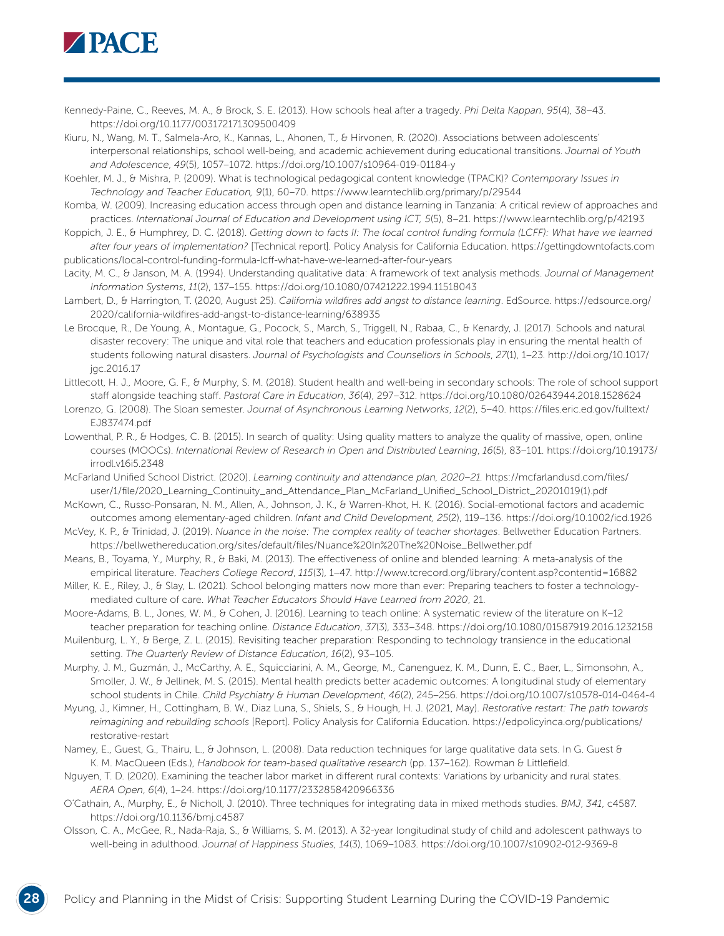

Kennedy-Paine, C., Reeves, M. A., & Brock, S. E. (2013). How schools heal after a tragedy. *Phi Delta Kappan*, *95*(4), 38–43. <https://doi.org/10.1177/003172171309500409>

Kiuru, N., Wang, M. T., Salmela-Aro, K., Kannas, L., Ahonen, T., & Hirvonen, R. (2020). Associations between adolescents' interpersonal relationships, school well-being, and academic achievement during educational transitions. *Journal of Youth and Adolescence*, *49*(5), 1057–1072.<https://doi.org/10.1007/s10964-019-01184-y>

Koehler, M. J., & Mishra, P. (2009). What is technological pedagogical content knowledge (TPACK)? *Contemporary Issues in Technology and Teacher Education, 9*(1), 60–70.<https://www.learntechlib.org/primary/p/29544>

- Komba, W. (2009). Increasing education access through open and distance learning in Tanzania: A critical review of approaches and practices. *International Journal of Education and Development using ICT, 5*(5), 8–21. <https://www.learntechlib.org/p/42193>
- Koppich, J. E., & Humphrey, D. C. (2018). *Getting down to facts II: The local control funding formula (LCFF): What have we learned after four years of implementation?* [Technical report]. Policy Analysis for California Education. [https://gettingdowntofacts.com](https://gettingdowntofacts.com/publications/local-control-funding-formula-lcff-what-have-we-learned-after-four-years) [publications/local-control-funding-formula-lcff-what-have-we-learned-after-four-years](https://gettingdowntofacts.com/publications/local-control-funding-formula-lcff-what-have-we-learned-after-four-years)

Lacity, M. C., & Janson, M. A. (1994). Understanding qualitative data: A framework of text analysis methods. *Journal of Management Information Systems*, *11*(2), 137–155. <https://doi.org/10.1080/07421222.1994.11518043>

- Lambert, D., & Harrington, T. (2020, August 25). *California wildfires add angst to distance learning*. EdSource. [https://edsource.org/](https://edsource.org/2020/california-wildfires-add-angst-to-distance-learning/638935) [2020/california-wildfires-add-angst-to-distance-learning/638935](https://edsource.org/2020/california-wildfires-add-angst-to-distance-learning/638935)
- Le Brocque, R., De Young, A., Montague, G., Pocock, S., March, S., Triggell, N., Rabaa, C., & Kenardy, J. (2017). Schools and natural disaster recovery: The unique and vital role that teachers and education professionals play in ensuring the mental health of students following natural disasters. *Journal of Psychologists and Counsellors in Schools*, *27*(1), 1–23. [http://doi.org/10.1017/](http://doi.org/10.1017/jgc.2016.17) [jgc.2016.17](http://doi.org/10.1017/jgc.2016.17)
- Littlecott, H. J., Moore, G. F., & Murphy, S. M. (2018). Student health and well-being in secondary schools: The role of school support staff alongside teaching staff. *Pastoral Care in Education*, *36*(4), 297–312.<https://doi.org/10.1080/02643944.2018.1528624>
- Lorenzo, G. (2008). The Sloan semester. *Journal of Asynchronous Learning Networks*, *12*(2), 5–40. [https://files.eric.ed.gov/fulltext/](https://files.eric.ed.gov/fulltext/EJ837474.pdf) [EJ837474.pdf](https://files.eric.ed.gov/fulltext/EJ837474.pdf)
- Lowenthal, P. R., & Hodges, C. B. (2015). In search of quality: Using quality matters to analyze the quality of massive, open, online courses (MOOCs). *International Review of Research in Open and Distributed Learning*, *16*(5), 83–101. [https://doi.org/10.19173/](https://doi.org/10.19173/irrodl.v16i5.2348) [irrodl.v16i5.2348](https://doi.org/10.19173/irrodl.v16i5.2348)

McFarland Unified School District. (2020). *Learning continuity and attendance plan, 2020–21.* [https://mcfarlandusd.com/files/](https://mcfarlandusd.com/files/user/1/file/2020_Learning_Continuity_and_Attendance_Plan_McFarland_Unified_School_District_20201019(1).pdf) [user/1/file/2020\\_Learning\\_Continuity\\_and\\_Attendance\\_Plan\\_McFarland\\_Unified\\_School\\_District\\_20201019\(1\).pdf](https://mcfarlandusd.com/files/user/1/file/2020_Learning_Continuity_and_Attendance_Plan_McFarland_Unified_School_District_20201019(1).pdf)

- McKown, C., Russo-Ponsaran, N. M., Allen, A., Johnson, J. K., & Warren-Khot, H. K. (2016). Social-emotional factors and academic outcomes among elementary-aged children. *Infant and Child Development, 25*(2), 119–136.<https://doi.org/10.1002/icd.1926>
- McVey, K. P., & Trinidad, J. (2019). *Nuance in the noise: The complex reality of teacher shortages*. Bellwether Education Partners. [https://bellwethereducation.org/sites/default/files/Nuance%20In%20The%20Noise\\_Bellwether.pdf](https://bellwethereducation.org/sites/default/files/Nuance%20In%20The%20Noise_Bellwether.pdf)
- Means, B., Toyama, Y., Murphy, R., & Baki, M. (2013). The effectiveness of online and blended learning: A meta-analysis of the empirical literature. *Teachers College Record*, *115*(3), 1–47.<http://www.tcrecord.org/library/content.asp?contentid=16882>
- Miller, K. E., Riley, J., & Slay, L. (2021). School belonging matters now more than ever: Preparing teachers to foster a technologymediated culture of care. *What Teacher Educators Should Have Learned from 2020*, 21.
- Moore-Adams, B. L., Jones, W. M., & Cohen, J. (2016). Learning to teach online: A systematic review of the literature on K–12 teacher preparation for teaching online. *Distance Education*, *37*(3), 333–348. <https://doi.org/10.1080/01587919.2016.1232158>
- Muilenburg, L. Y., & Berge, Z. L. (2015). Revisiting teacher preparation: Responding to technology transience in the educational setting. *The Quarterly Review of Distance Education*, *16*(2), 93–105.
- Murphy, J. M., Guzmán, J., McCarthy, A. E., Squicciarini, A. M., George, M., Canenguez, K. M., Dunn, E. C., Baer, L., Simonsohn, A., Smoller, J. W., & Jellinek, M. S. (2015). Mental health predicts better academic outcomes: A longitudinal study of elementary school students in Chile. *Child Psychiatry & Human Development*, *46*(2), 245–256. <https://doi.org/10.1007/s10578-014-0464-4>
- Myung, J., Kimner, H., Cottingham, B. W., Diaz Luna, S., Shiels, S., & Hough, H. J. (2021, May). *Restorative restart: The path towards reimagining and rebuilding schools* [Report]. Policy Analysis for California Education. [https://edpolicyinca.org/publications/](https://edpolicyinca.org/publications/restorative-restart) [restorative-restart](https://edpolicyinca.org/publications/restorative-restart)
- Namey, E., Guest, G., Thairu, L., & Johnson, L. (2008). Data reduction techniques for large qualitative data sets. In G. Guest & K. M. MacQueen (Eds.), *Handbook for team-based qualitative research* (pp. 137–162). Rowman & Littlefield.
- Nguyen, T. D. (2020). Examining the teacher labor market in different rural contexts: Variations by urbanicity and rural states. *AERA Open*, *6*(4), 1–24. <https://doi.org/10.1177/2332858420966336>
- O'Cathain, A., Murphy, E., & Nicholl, J. (2010). Three techniques for integrating data in mixed methods studies. *BMJ*, *341*, c4587. <https://doi.org/10.1136/bmj.c4587>
- Olsson, C. A., McGee, R., Nada-Raja, S., & Williams, S. M. (2013). A 32-year longitudinal study of child and adolescent pathways to well-being in adulthood. *Journal of Happiness Studies*, *14*(3), 1069–1083.<https://doi.org/10.1007/s10902-012-9369-8>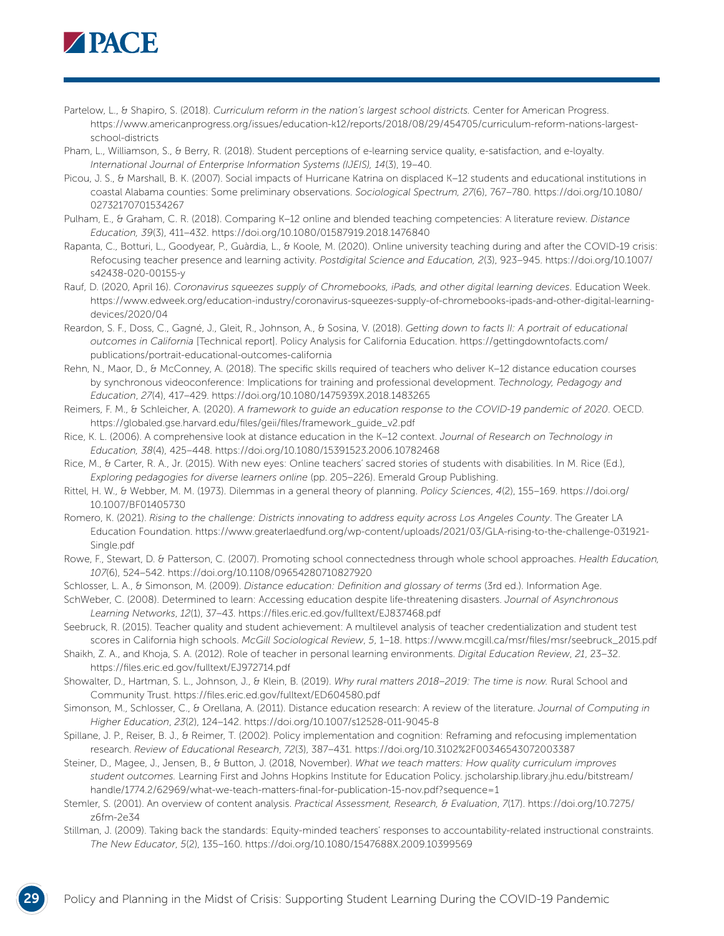

- Partelow, L., & Shapiro, S. (2018). *Curriculum reform in the nation's largest school districts.* Center for American Progress. [https://www.americanprogress.org/issues/education-k12/reports/2018/08/29/454705/curriculum-reform-nations-largest](https://www.americanprogress.org/issues/education-k12/reports/2018/08/29/454705/curriculum-reform-nations-largest-school-districts)[school-districts](https://www.americanprogress.org/issues/education-k12/reports/2018/08/29/454705/curriculum-reform-nations-largest-school-districts)
- Pham, L., Williamson, S., & Berry, R. (2018). Student perceptions of e-learning service quality, e-satisfaction, and e-loyalty. *International Journal of Enterprise Information Systems (IJEIS), 14*(3), 19–40.
- Picou, J. S., & Marshall, B. K. (2007). Social impacts of Hurricane Katrina on displaced K–12 students and educational institutions in coastal Alabama counties: Some preliminary observations. *Sociological Spectrum, 27*(6), 767–780. [https://doi.org/10.1080/](https://doi.org/10.1080/02732170701534267) [02732170701534267](https://doi.org/10.1080/02732170701534267)
- Pulham, E., & Graham, C. R. (2018). Comparing K–12 online and blended teaching competencies: A literature review. *Distance Education, 39*(3), 411–432.<https://doi.org/10.1080/01587919.2018.1476840>
- Rapanta, C., Botturi, L., Goodyear, P., Guàrdia, L., & Koole, M. (2020). Online university teaching during and after the COVID-19 crisis: Refocusing teacher presence and learning activity. *Postdigital Science and Education, 2*(3), 923–945. [https://doi.org/10.1007/](https://doi.org/10.1007/s42438-020-00155-y) [s42438-020-00155-y](https://doi.org/10.1007/s42438-020-00155-y)
- Rauf, D. (2020, April 16). *Coronavirus squeezes supply of Chromebooks, iPads, and other digital learning devices*. Education Week. [https://www.edweek.org/education-industry/coronavirus-squeezes-supply-of-chromebooks-ipads-and-other-digital-learning](https://www.edweek.org/education-industry/coronavirus-squeezes-supply-of-chromebooks-ipads-and-other-digital-learning-devices/2020/04)[devices/2020/04](https://www.edweek.org/education-industry/coronavirus-squeezes-supply-of-chromebooks-ipads-and-other-digital-learning-devices/2020/04)
- Reardon, S. F., Doss, C., Gagné, J., Gleit, R., Johnson, A., & Sosina, V. (2018). *Getting down to facts II: A portrait of educational outcomes in California* [Technical report]. Policy Analysis for California Education. [https://gettingdowntofacts.com/](https://gettingdowntofacts.com/publications/portrait-educational-outcomes-california) [publications/portrait-educational-outcomes-california](https://gettingdowntofacts.com/publications/portrait-educational-outcomes-california)
- Rehn, N., Maor, D., & McConney, A. (2018). The specific skills required of teachers who deliver K–12 distance education courses by synchronous videoconference: Implications for training and professional development. *Technology, Pedagogy and Education*, *27*(4), 417–429.<https://doi.org/10.1080/1475939X.2018.1483265>
- Reimers, F. M., & Schleicher, A. (2020). *A framework to guide an education response to the COVID-19 pandemic of 2020*. OECD. [https://globaled.gse.harvard.edu/files/geii/files/framework\\_guide\\_v2.pdf](https://globaled.gse.harvard.edu/files/geii/files/framework_guide_v2.pdf)
- Rice, K. L. (2006). A comprehensive look at distance education in the K–12 context. *Journal of Research on Technology in Education, 38*(4), 425–448. <https://doi.org/10.1080/15391523.2006.10782468>
- Rice, M., & Carter, R. A., Jr. (2015). With new eyes: Online teachers' sacred stories of students with disabilities. In M. Rice (Ed.), *Exploring pedagogies for diverse learners online* (pp. 205–226). Emerald Group Publishing.
- Rittel, H. W., & Webber, M. M. (1973). Dilemmas in a general theory of planning. *Policy Sciences*, *4*(2), 155–169. [https://doi.org/](https://doi.org/10.1007/BF01405730) [10.1007/BF01405730](https://doi.org/10.1007/BF01405730)
- Romero, K. (2021). *Rising to the challenge: Districts innovating to address equity across Los Angeles County*. The Greater LA Education Foundation. [https://www.greaterlaedfund.org/wp-content/uploads/2021/03/GLA-rising-to-the-challenge-031921-](https://www.greaterlaedfund.org/wp-content/uploads/2021/03/GLA-rising-to-the-challenge-031921-Single.pdf) [Single.pdf](https://www.greaterlaedfund.org/wp-content/uploads/2021/03/GLA-rising-to-the-challenge-031921-Single.pdf)
- Rowe, F., Stewart, D. & Patterson, C. (2007). Promoting school connectedness through whole school approaches. *Health Education, 107*(6), 524–542. <https://doi.org/10.1108/09654280710827920>
- Schlosser, L. A., & Simonson, M. (2009). *Distance education: Definition and glossary of terms* (3rd ed.). Information Age.
- SchWeber, C. (2008). Determined to learn: Accessing education despite life-threatening disasters. *Journal of Asynchronous Learning Networks*, *12*(1), 37–43. <https://files.eric.ed.gov/fulltext/EJ837468.pdf>
- Seebruck, R. (2015). Teacher quality and student achievement: A multilevel analysis of teacher credentialization and student test scores in California high schools. *McGill Sociological Review*, *5*, 1–18. [https://www.mcgill.ca/msr/files/msr/seebruck\\_2015.pdf](https://www.mcgill.ca/msr/files/msr/seebruck_2015.pdf)
- Shaikh, Z. A., and Khoja, S. A. (2012). Role of teacher in personal learning environments. *Digital Education Review*, *21*, 23–32. <https://files.eric.ed.gov/fulltext/EJ972714.pdf>
- Showalter, D., Hartman, S. L., Johnson, J., & Klein, B. (2019). *Why rural matters 2018*–*2019: The time is now.* Rural School and Community Trust.<https://files.eric.ed.gov/fulltext/ED604580.pdf>
- Simonson, M., Schlosser, C., & Orellana, A. (2011). Distance education research: A review of the literature. *Journal of Computing in Higher Education*, *23*(2), 124–142. <https://doi.org/10.1007/s12528-011-9045-8>
- Spillane, J. P., Reiser, B. J., & Reimer, T. (2002). Policy implementation and cognition: Reframing and refocusing implementation research. *Review of Educational Research*, *72*(3), 387–431.<https://doi.org/10.3102%2F00346543072003387>
- Steiner, D., Magee, J., Jensen, B., & Button, J. (2018, November). *What we teach matters: How quality curriculum improves student outcomes.* Learning First and Johns Hopkins Institute for Education Policy. [jscholarship.library.jhu.edu/bitstream/](https://jscholarship.library.jhu.edu/bitstream/handle/1774.2/62969/what-we-teach-matters-final-for-publication-15-nov.pdf?sequence=1) [handle/1774.2/62969/what-we-teach-matters-final-for-publication-15-nov.pdf?sequence=1](https://jscholarship.library.jhu.edu/bitstream/handle/1774.2/62969/what-we-teach-matters-final-for-publication-15-nov.pdf?sequence=1)
- Stemler, S. (2001). An overview of content analysis. *Practical Assessment, Research, & Evaluation*, *7*(17). [https://doi.org/10.7275/](https://doi.org/10.7275/z6fm-2e34) [z6fm-2e34](https://doi.org/10.7275/z6fm-2e34)
- Stillman, J. (2009). Taking back the standards: Equity-minded teachers' responses to accountability-related instructional constraints. *The New Educator*, *5*(2), 135–160.<https://doi.org/10.1080/1547688X.2009.10399569>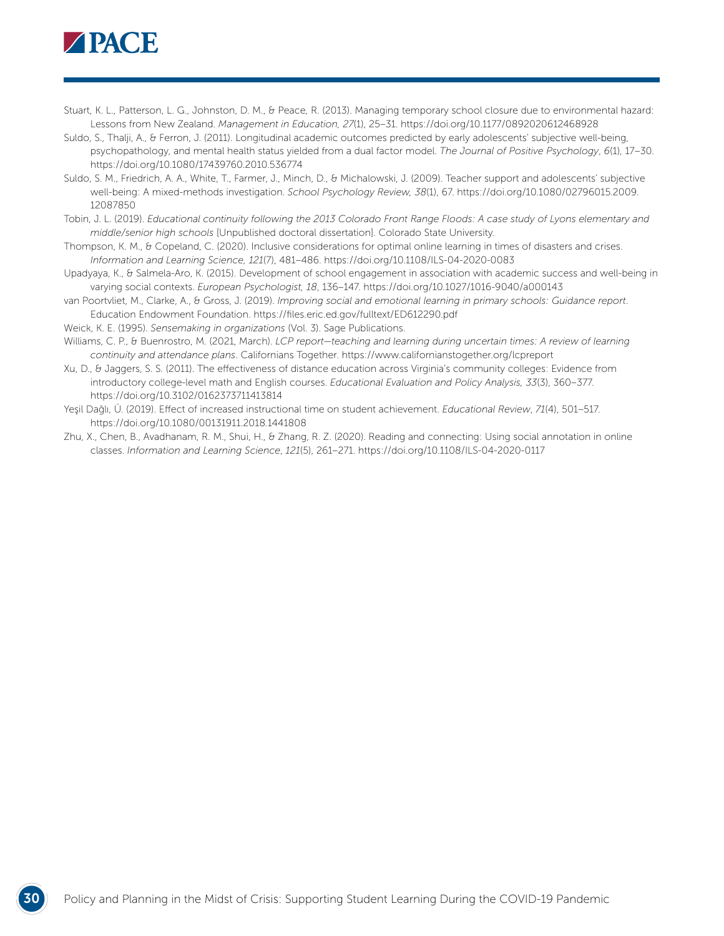

- Stuart, K. L., Patterson, L. G., Johnston, D. M., & Peace, R. (2013). Managing temporary school closure due to environmental hazard: Lessons from New Zealand. *Management in Education, 27*(1), 25–31.<https://doi.org/10.1177/0892020612468928>
- Suldo, S., Thalji, A., & Ferron, J. (2011). Longitudinal academic outcomes predicted by early adolescents' subjective well-being, psychopathology, and mental health status yielded from a dual factor model. *The Journal of Positive Psychology*, *6*(1), 17–30. <https://doi.org/10.1080/17439760.2010.536774>
- Suldo, S. M., Friedrich, A. A., White, T., Farmer, J., Minch, D., & Michalowski, J. (2009). Teacher support and adolescents' subjective well-being: A mixed-methods investigation. *School Psychology Review, 38*(1), 67. [https://doi.org/10.1080/02796015.2009.](https://doi.org/10.1080/02796015.2009.12087850) [12087850](https://doi.org/10.1080/02796015.2009.12087850)
- Tobin, J. L. (2019). *Educational continuity following the 2013 Colorado Front Range Floods: A case study of Lyons elementary and middle/senior high schools* [Unpublished doctoral dissertation]. Colorado State University.
- Thompson, K. M., & Copeland, C. (2020). Inclusive considerations for optimal online learning in times of disasters and crises. *Information and Learning Science, 121*(7), 481–486.<https://doi.org/10.1108/ILS-04-2020-0083>
- Upadyaya, K., & Salmela-Aro, K. (2015). Development of school engagement in association with academic success and well-being in varying social contexts. *European Psychologist, 18*, 136–147. <https://doi.org/10.1027/1016-9040/a000143>
- van Poortvliet, M., Clarke, A., & Gross, J. (2019). *Improving social and emotional learning in primary schools: Guidance report*. Education Endowment Foundation. <https://files.eric.ed.gov/fulltext/ED612290.pdf>
- Weick, K. E. (1995). *Sensemaking in organizations* (Vol. 3). Sage Publications.
- Williams, C. P., & Buenrostro, M. (2021, March). *LCP report—teaching and learning during uncertain times: A review of learning continuity and attendance plans*. Californians Together.<https://www.californianstogether.org/lcpreport>
- Xu, D., & Jaggers, S. S. (2011). The effectiveness of distance education across Virginia's community colleges: Evidence from introductory college-level math and English courses. *Educational Evaluation and Policy Analysis, 33*(3), 360–377. <https://doi.org/10.3102/0162373711413814>
- Yeşil Dağlı, Ü. (2019). Effect of increased instructional time on student achievement. *Educational Review*, *71*(4), 501–517. <https://doi.org/10.1080/00131911.2018.1441808>
- Zhu, X., Chen, B., Avadhanam, R. M., Shui, H., & Zhang, R. Z. (2020). Reading and connecting: Using social annotation in online classes. *Information and Learning Science*, *121*(5), 261–271.<https://doi.org/10.1108/ILS-04-2020-0117>